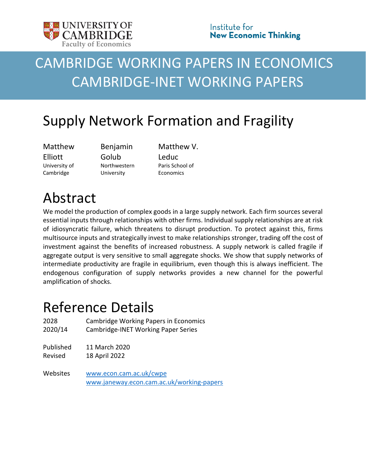

# CAMBRIDGE WORKING PAPERS IN ECONOMICS CAMBRIDGE-INET WORKING PAPERS

# Supply Network Formation and Fragility

Matthew Elliott University of Cambridge

Benjamin Golub Northwestern University

Matthew V. Leduc Paris School of **Economics** 

# Abstract

We model the production of complex goods in a large supply network. Each firm sources several essential inputs through relationships with other firms. Individual supply relationships are at risk of idiosyncratic failure, which threatens to disrupt production. To protect against this, firms multisource inputs and strategically invest to make relationships stronger, trading off the cost of investment against the benefits of increased robustness. A supply network is called fragile if aggregate output is very sensitive to small aggregate shocks. We show that supply networks of intermediate productivity are fragile in equilibrium, even though this is always inefficient. The endogenous configuration of supply networks provides a new channel for the powerful amplification of shocks.

# Reference Details

| 2028      | <b>Cambridge Working Papers in Economics</b>                         |
|-----------|----------------------------------------------------------------------|
| 2020/14   | Cambridge-INET Working Paper Series                                  |
| Published | 11 March 2020                                                        |
| Revised   | 18 April 2022                                                        |
| Websites  | www.econ.cam.ac.uk/cwpe<br>www.janeway.econ.cam.ac.uk/working-papers |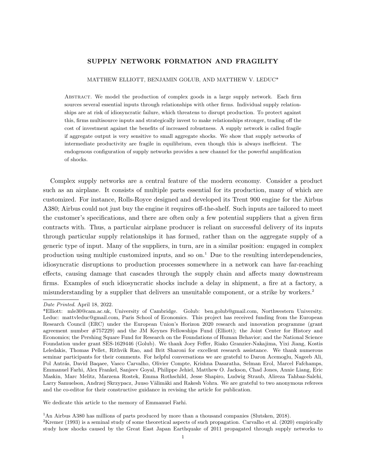#### SUPPLY NETWORK FORMATION AND FRAGILITY

MATTHEW ELLIOTT, BENJAMIN GOLUB, AND MATTHEW V. LEDUC\*

ABSTRACT. We model the production of complex goods in a large supply network. Each firm sources several essential inputs through relationships with other firms. Individual supply relationships are at risk of idiosyncratic failure, which threatens to disrupt production. To protect against this, firms multisource inputs and strategically invest to make relationships stronger, trading off the cost of investment against the benefits of increased robustness. A supply network is called fragile if aggregate output is very sensitive to small aggregate shocks. We show that supply networks of intermediate productivity are fragile in equilibrium, even though this is always inefficient. The endogenous configuration of supply networks provides a new channel for the powerful amplification of shocks.

Complex supply networks are a central feature of the modern economy. Consider a product such as an airplane. It consists of multiple parts essential for its production, many of which are customized. For instance, Rolls-Royce designed and developed its Trent 900 engine for the Airbus A380; Airbus could not just buy the engine it requires off-the-shelf. Such inputs are tailored to meet the customer's specifications, and there are often only a few potential suppliers that a given firm contracts with. Thus, a particular airplane producer is reliant on successful delivery of its inputs through particular supply relationships it has formed, rather than on the aggregate supply of a generic type of input. Many of the suppliers, in turn, are in a similar position: engaged in complex production using multiple customized inputs, and so  $\text{on.}^1$ . Due to the resulting interdependencies, idiosyncratic disruptions to production processes somewhere in a network can have far-reaching effects, causing damage that cascades through the supply chain and affects many downstream firms. Examples of such idiosyncratic shocks include a delay in shipment, a fire at a factory, a misunderstanding by a supplier that delivers an unsuitable component, or a strike by workers.<sup>2</sup>

We dedicate this article to the memory of Emmanuel Farhi.

<sup>1</sup>An Airbus A380 has millions of parts produced by more than a thousand companies (Slutsken, 2018).

 ${}^{2}$ Kremer (1993) is a seminal study of some theoretical aspects of such propagation. Carvalho et al. (2020) empirically study how shocks caused by the Great East Japan Earthquake of 2011 propagated through supply networks to

Date Printed. April 18, 2022.

<sup>\*</sup>Elliott: mle30@cam.ac.uk, University of Cambridge. Golub: ben.golub@gmail.com, Northwestern University. Leduc: mattvleduc@gmail.com, Paris School of Economics. This project has received funding from the European Research Council (ERC) under the European Union's Horizon 2020 research and innovation programme (grant agreement number #757229) and the JM Keynes Fellowships Fund (Elliott); the Joint Center for History and Economics; the Pershing Square Fund for Research on the Foundations of Human Behavior; and the National Science Foundation under grant SES-1629446 (Golub). We thank Joey Feffer, Riako Granzier-Nakajima, Yixi Jiang, Kostis Leledakis, Thomas Pellet, Rithvik Rao, and Brit Sharoni for excellent research assistance. We thank numerous seminar participants for their comments. For helpful conversations we are grateful to Daron Acemoglu, Nageeb Ali, Pol Antrás, David Baqaee, Vasco Carvalho, Olivier Compte, Krishna Dasaratha, Selman Erol, Marcel Fafchamps, Emmanuel Farhi, Alex Frankel, Sanjeev Goyal, Philippe Jehiel, Matthew O. Jackson, Chad Jones, Annie Liang, Eric Maskin, Marc Melitz, Marzena Rostek, Emma Rothschild, Jesse Shapiro, Ludwig Straub, Alireza Tahbaz-Salehi, Larry Samuelson, Andrzej Skrzypacz, Juuso Välimäki and Rakesh Vohra. We are grateful to two anonymous referees and the co-editor for their constructive guidance in revising the article for publication.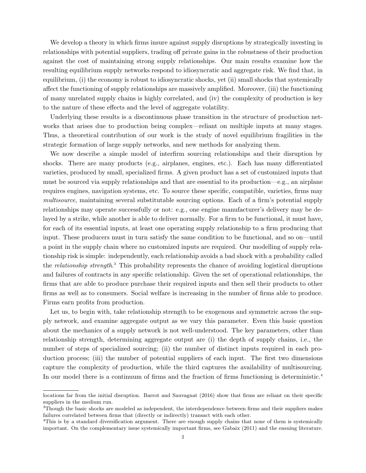We develop a theory in which firms insure against supply disruptions by strategically investing in relationships with potential suppliers, trading off private gains in the robustness of their production against the cost of maintaining strong supply relationships. Our main results examine how the resulting equilibrium supply networks respond to idiosyncratic and aggregate risk. We find that, in equilibrium, (i) the economy is robust to idiosyncratic shocks, yet (ii) small shocks that systemically affect the functioning of supply relationships are massively amplified. Moreover, (iii) the functioning of many unrelated supply chains is highly correlated, and (iv) the complexity of production is key to the nature of these effects and the level of aggregate volatility.

Underlying these results is a discontinuous phase transition in the structure of production networks that arises due to production being complex—reliant on multiple inputs at many stages. Thus, a theoretical contribution of our work is the study of novel equilibrium fragilities in the strategic formation of large supply networks, and new methods for analyzing them.

We now describe a simple model of interfirm sourcing relationships and their disruption by shocks. There are many products (e.g., airplanes, engines, etc.). Each has many differentiated varieties, produced by small, specialized firms. A given product has a set of customized inputs that must be sourced via supply relationships and that are essential to its production—e.g., an airplane requires engines, navigation systems, etc. To source these specific, compatible, varieties, firms may multisource, maintaining several substitutable sourcing options. Each of a firm's potential supply relationships may operate successfully or not: e.g., one engine manufacturer's delivery may be delayed by a strike, while another is able to deliver normally. For a firm to be functional, it must have, for each of its essential inputs, at least one operating supply relationship to a firm producing that input. These producers must in turn satisfy the same condition to be functional, and so on—until a point in the supply chain where no customized inputs are required. Our modelling of supply relationship risk is simple: independently, each relationship avoids a bad shock with a probability called the *relationship strength*.<sup>3</sup> This probability represents the chance of avoiding logistical disruptions and failures of contracts in any specific relationship. Given the set of operational relationships, the firms that are able to produce purchase their required inputs and then sell their products to other firms as well as to consumers. Social welfare is increasing in the number of firms able to produce. Firms earn profits from production.

Let us, to begin with, take relationship strength to be exogenous and symmetric across the supply network, and examine aggregate output as we vary this parameter. Even this basic question about the mechanics of a supply network is not well-understood. The key parameters, other than relationship strength, determining aggregate output are (i) the depth of supply chains, i.e., the number of steps of specialized sourcing; (ii) the number of distinct inputs required in each production process; (iii) the number of potential suppliers of each input. The first two dimensions capture the complexity of production, while the third captures the availability of multisourcing. In our model there is a continuum of firms and the fraction of firms functioning is deterministic.<sup>4</sup>

locations far from the initial disruption. Barrot and Sauvagnat (2016) show that firms are reliant on their specific suppliers in the medium run.

<sup>3</sup>Though the basic shocks are modeled as independent, the interdependence between firms and their suppliers makes failures correlated between firms that (directly or indirectly) transact with each other.

<sup>&</sup>lt;sup>4</sup>This is by a standard diversification argument. There are enough supply chains that none of them is systemically important. On the complementary issue systemically important firms, see Gabaix (2011) and the ensuing literature.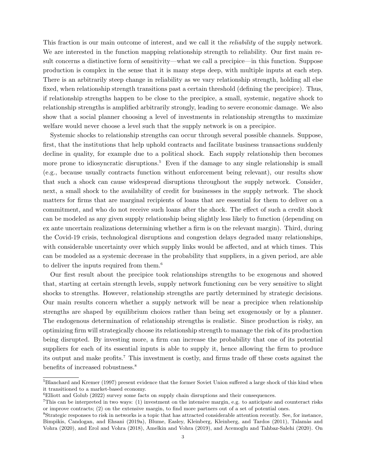This fraction is our main outcome of interest, and we call it the *reliability* of the supply network. We are interested in the function mapping relationship strength to reliability. Our first main result concerns a distinctive form of sensitivity—what we call a precipice—in this function. Suppose production is complex in the sense that it is many steps deep, with multiple inputs at each step. There is an arbitrarily steep change in reliability as we vary relationship strength, holding all else fixed, when relationship strength transitions past a certain threshold (defining the precipice). Thus, if relationship strengths happen to be close to the precipice, a small, systemic, negative shock to relationship strengths is amplified arbitrarily strongly, leading to severe economic damage. We also show that a social planner choosing a level of investments in relationship strengths to maximize welfare would never choose a level such that the supply network is on a precipice.

Systemic shocks to relationship strengths can occur through several possible channels. Suppose, first, that the institutions that help uphold contracts and facilitate business transactions suddenly decline in quality, for example due to a political shock. Each supply relationship then becomes more prone to idiosyncratic disruptions.<sup>5</sup> Even if the damage to any single relationship is small (e.g., because usually contracts function without enforcement being relevant), our results show that such a shock can cause widespread disruptions throughout the supply network. Consider, next, a small shock to the availability of credit for businesses in the supply network. The shock matters for firms that are marginal recipients of loans that are essential for them to deliver on a commitment, and who do not receive such loans after the shock. The effect of such a credit shock can be modeled as any given supply relationship being slightly less likely to function (depending on ex ante uncertain realizations determining whether a firm is on the relevant margin). Third, during the Covid-19 crisis, technological disruptions and congestion delays degraded many relationships, with considerable uncertainty over which supply links would be affected, and at which times. This can be modeled as a systemic decrease in the probability that suppliers, in a given period, are able to deliver the inputs required from them.<sup>6</sup>

Our first result about the precipice took relationships strengths to be exogenous and showed that, starting at certain strength levels, supply network functioning can be very sensitive to slight shocks to strengths. However, relationship strengths are partly determined by strategic decisions. Our main results concern whether a supply network will be near a precipice when relationship strengths are shaped by equilibrium choices rather than being set exogenously or by a planner. The endogenous determination of relationship strengths is realistic. Since production is risky, an optimizing firm will strategically choose its relationship strength to manage the risk of its production being disrupted. By investing more, a firm can increase the probability that one of its potential suppliers for each of its essential inputs is able to supply it, hence allowing the firm to produce its output and make profits.<sup>7</sup> This investment is costly, and firms trade off these costs against the benefits of increased robustness.<sup>8</sup>

<sup>&</sup>lt;sup>5</sup>Blanchard and Kremer (1997) present evidence that the former Soviet Union suffered a large shock of this kind when it transitioned to a market-based economy.

<sup>6</sup>Elliott and Golub (2022) survey some facts on supply chain disruptions and their consequences.

<sup>7</sup>This can be interpreted in two ways: (1) investment on the intensive margin, e.g. to anticipate and counteract risks or improve contracts; (2) on the extensive margin, to find more partners out of a set of potential ones.

<sup>8</sup>Strategic responses to risk in networks is a topic that has attracted considerable attention recently. See, for instance, Bimpikis, Candogan, and Ehsani (2019a), Blume, Easley, Kleinberg, Kleinberg, and Tardos (2011), Talamàs and Vohra (2020), and Erol and Vohra (2018), Amelkin and Vohra (2019), and Acemoglu and Tahbaz-Salehi (2020). On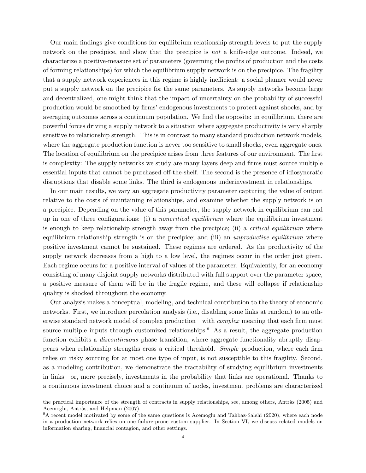Our main findings give conditions for equilibrium relationship strength levels to put the supply network on the precipice, and show that the precipice is not a knife-edge outcome. Indeed, we characterize a positive-measure set of parameters (governing the profits of production and the costs of forming relationships) for which the equilibrium supply network is on the precipice. The fragility that a supply network experiences in this regime is highly inefficient: a social planner would never put a supply network on the precipice for the same parameters. As supply networks become large and decentralized, one might think that the impact of uncertainty on the probability of successful production would be smoothed by firms' endogenous investments to protect against shocks, and by averaging outcomes across a continuum population. We find the opposite: in equilibrium, there are powerful forces driving a supply network to a situation where aggregate productivity is very sharply sensitive to relationship strength. This is in contrast to many standard production network models, where the aggregate production function is never too sensitive to small shocks, even aggregate ones. The location of equilibrium on the precipice arises from three features of our environment. The first is complexity: The supply networks we study are many layers deep and firms must source multiple essential inputs that cannot be purchased off-the-shelf. The second is the presence of idiosyncratic disruptions that disable some links. The third is endogenous underinvestment in relationships.

In our main results, we vary an aggregate productivity parameter capturing the value of output relative to the costs of maintaining relationships, and examine whether the supply network is on a precipice. Depending on the value of this parameter, the supply network in equilibrium can end up in one of three configurations: (i) a noncritical equilibrium where the equilibrium investment is enough to keep relationship strength away from the precipice; (ii) a *critical equilibrium* where equilibrium relationship strength is on the precipice; and (iii) an unproductive equilibrium where positive investment cannot be sustained. These regimes are ordered. As the productivity of the supply network decreases from a high to a low level, the regimes occur in the order just given. Each regime occurs for a positive interval of values of the parameter. Equivalently, for an economy consisting of many disjoint supply networks distributed with full support over the parameter space, a positive measure of them will be in the fragile regime, and these will collapse if relationship quality is shocked throughout the economy.

Our analysis makes a conceptual, modeling, and technical contribution to the theory of economic networks. First, we introduce percolation analysis (i.e., disabling some links at random) to an otherwise standard network model of complex production—with *complex* meaning that each firm must source multiple inputs through customized relationships.<sup>9</sup> As a result, the aggregate production function exhibits a *discontinuous* phase transition, where aggregate functionality abruptly disappears when relationship strengths cross a critical threshold. Simple production, where each firm relies on risky sourcing for at most one type of input, is not susceptible to this fragility. Second, as a modeling contribution, we demonstrate the tractability of studying equilibrium investments in links—or, more precisely, investments in the probability that links are operational. Thanks to a continuous investment choice and a continuum of nodes, investment problems are characterized

the practical importance of the strength of contracts in supply relationships, see, among others, Antràs (2005) and Acemoglu, Antràs, and Helpman (2007).

<sup>&</sup>lt;sup>9</sup>A recent model motivated by some of the same questions is Acemoglu and Tahbaz-Salehi (2020), where each node in a production network relies on one failure-prone custom supplier. In Section VI, we discuss related models on information sharing, financial contagion, and other settings.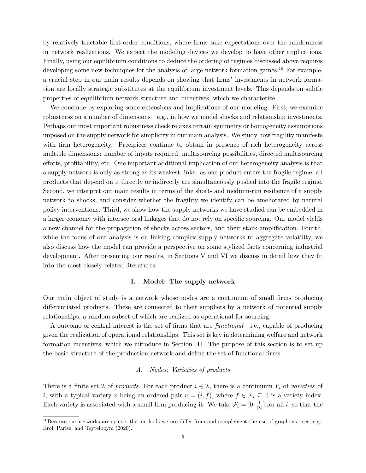by relatively tractable first-order conditions, where firms take expectations over the randomness in network realizations. We expect the modeling devices we develop to have other applications. Finally, using our equilibrium conditions to deduce the ordering of regimes discussed above requires developing some new techniques for the analysis of large network formation games.<sup>10</sup> For example, a crucial step in our main results depends on showing that firms' investments in network formation are locally strategic substitutes at the equilibrium investment levels. This depends on subtle properties of equilibrium network structure and incentives, which we characterize.

We conclude by exploring some extensions and implications of our modeling. First, we examine robustness on a number of dimensions—e.g., in how we model shocks and relationship investments. Perhaps our most important robustness check relaxes certain symmetry or homogeneity assumptions imposed on the supply network for simplicity in our main analysis. We study how fragility manifests with firm heterogeneity. Precipices continue to obtain in presence of rich heterogeneity across multiple dimensions: number of inputs required, multisourcing possibilities, directed multisourcing efforts, profitability, etc. One important additional implication of our heterogeneity analysis is that a supply network is only as strong as its weakest links: as one product enters the fragile regime, all products that depend on it directly or indirectly are simultaneously pushed into the fragile regime. Second, we interpret our main results in terms of the short- and medium-run resilience of a supply network to shocks, and consider whether the fragility we identify can be ameliorated by natural policy interventions. Third, we show how the supply networks we have studied can be embedded in a larger economy with intersectoral linkages that do not rely on specific sourcing. Our model yields a new channel for the propagation of shocks across sectors, and their stark amplification. Fourth, while the focus of our analysis is on linking complex supply networks to aggregate volatility, we also discuss how the model can provide a perspective on some stylized facts concerning industrial development. After presenting our results, in Sections V and VI we discuss in detail how they fit into the most closely related literatures.

### I. Model: The supply network

Our main object of study is a network whose nodes are a continuum of small firms producing differentiated products. These are connected to their suppliers by a network of potential supply relationships, a random subset of which are realized as operational for sourcing.

A outcome of central interest is the set of firms that are functional—i.e., capable of producing given the realization of operational relationships. This set is key in determining welfare and network formation incentives, which we introduce in Section III. The purpose of this section is to set up the basic structure of the production network and define the set of functional firms.

# A. Nodes: Varieties of products

There is a finite set  $\mathcal I$  of products. For each product  $i \in \mathcal I$ , there is a continuum  $\mathcal V_i$  of varieties of i, with a typical variety v being an ordered pair  $v = (i, f)$ , where  $f \in \mathcal{F}_i \subseteq \mathbb{R}$  is a variety index. Each variety is associated with a small firm producing it. We take  $\mathcal{F}_i = [0, \frac{1}{|\mathcal{I}|}]$  for all i, so that the

 $10$ Because our networks are sparse, the methods we use differ from and complement the use of graphons—see, e.g., Erol, Parise, and Teytelboym (2020).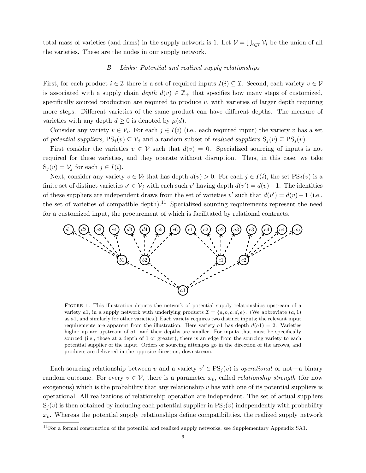total mass of varieties (and firms) in the supply network is 1. Let  $\mathcal{V} = \bigcup_{i \in \mathcal{I}} \mathcal{V}_i$  be the union of all the varieties. These are the nodes in our supply network.

#### B. Links: Potential and realized supply relationships

First, for each product  $i \in \mathcal{I}$  there is a set of required inputs  $I(i) \subseteq \mathcal{I}$ . Second, each variety  $v \in \mathcal{V}$ is associated with a supply chain depth  $d(v) \in \mathbb{Z}_+$  that specifies how many steps of customized, specifically sourced production are required to produce  $v$ , with varieties of larger depth requiring more steps. Different varieties of the same product can have different depths. The measure of varieties with any depth  $d \geq 0$  is denoted by  $\mu(d)$ .

Consider any variety  $v \in \mathcal{V}_i$ . For each  $j \in I(i)$  (i.e., each required input) the variety v has a set of potential suppliers,  $PS_j(v) \subseteq V_j$  and a random subset of *realized suppliers*  $S_j(v) \subseteq PS_j(v)$ .

First consider the varieties  $v \in V$  such that  $d(v) = 0$ . Specialized sourcing of inputs is not required for these varieties, and they operate without disruption. Thus, in this case, we take  $S_i(v) = V_j$  for each  $j \in I(i)$ .

Next, consider any variety  $v \in V_i$  that has depth  $d(v) > 0$ . For each  $j \in I(i)$ , the set  $PS_i(v)$  is a finite set of distinct varieties  $v' \in V_j$  with each such v' having depth  $d(v') = d(v) - 1$ . The identities of these suppliers are independent draws from the set of varieties v' such that  $d(v') = d(v) - 1$  (i.e., the set of varieties of compatible depth).<sup>11</sup> Specialized sourcing requirements represent the need for a customized input, the procurement of which is facilitated by relational contracts.



FIGURE 1. This illustration depicts the network of potential supply relationships upstream of a variety a1, in a supply network with underlying products  $\mathcal{I} = \{a, b, c, d, e\}$ . (We abbreviate  $(a, 1)$ ) as a1, and similarly for other varieties.) Each variety requires two distinct inputs; the relevant input requirements are apparent from the illustration. Here variety a1 has depth  $d(a1) = 2$ . Varieties higher up are upstream of a1, and their depths are smaller. For inputs that must be specifically sourced (i.e., those at a depth of 1 or greater), there is an edge from the sourcing variety to each potential supplier of the input. Orders or sourcing attempts go in the direction of the arrows, and products are delivered in the opposite direction, downstream.

Each sourcing relationship between v and a variety  $v' \in PS_j(v)$  is *operational* or not—a binary random outcome. For every  $v \in V$ , there is a parameter  $x_v$ , called *relationship strength* (for now exogenous) which is the probability that any relationship  $v$  has with one of its potential suppliers is operational. All realizations of relationship operation are independent. The set of actual suppliers  $S_i(v)$  is then obtained by including each potential supplier in  $PS_i(v)$  independently with probability  $x_v$ . Whereas the potential supply relationships define compatibilities, the realized supply network

 $11$ For a formal construction of the potential and realized supply networks, see Supplementary Appendix SA1.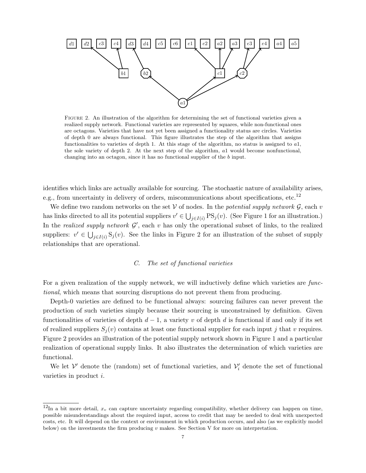

FIGURE 2. An illustration of the algorithm for determining the set of functional varieties given a realized supply network. Functional varieties are represented by squares, while non-functional ones are octagons. Varieties that have not yet been assigned a functionality status are circles. Varieties of depth 0 are always functional. This figure illustrates the step of the algorithm that assigns functionalities to varieties of depth 1. At this stage of the algorithm, no status is assigned to a1, the sole variety of depth 2. At the next step of the algorithm, a1 would become nonfunctional, changing into an octagon, since it has no functional supplier of the b input.

identifies which links are actually available for sourcing. The stochastic nature of availability arises, e.g., from uncertainty in delivery of orders, miscommunications about specifications, etc.<sup>12</sup>

We define two random networks on the set  $V$  of nodes. In the *potential supply network*  $\mathcal{G}$ , each v has links directed to all its potential suppliers  $v' \in \bigcup_{j \in I(i)} PS_j(v)$ . (See Figure 1 for an illustration.) In the *realized supply network*  $\mathcal{G}'$ , each v has only the operational subset of links, to the realized suppliers:  $v' \in \bigcup_{j \in I(i)} S_j(v)$ . See the links in Figure 2 for an illustration of the subset of supply relationships that are operational.

# C. The set of functional varieties

For a given realization of the supply network, we will inductively define which varieties are functional, which means that sourcing disruptions do not prevent them from producing.

Depth-0 varieties are defined to be functional always: sourcing failures can never prevent the production of such varieties simply because their sourcing is unconstrained by definition. Given functionalities of varieties of depth  $d-1$ , a variety v of depth d is functional if and only if its set of realized suppliers  $S_i(v)$  contains at least one functional supplier for each input j that v requires. Figure 2 provides an illustration of the potential supply network shown in Figure 1 and a particular realization of operational supply links. It also illustrates the determination of which varieties are functional.

We let  $\mathcal{V}'$  denote the (random) set of functional varieties, and  $\mathcal{V}'_i$  denote the set of functional varieties in product i.

 $^{12}$ In a bit more detail,  $x_v$  can capture uncertainty regarding compatibility, whether delivery can happen on time, possible misunderstandings about the required input, access to credit that may be needed to deal with unexpected costs, etc. It will depend on the context or environment in which production occurs, and also (as we explicitly model below) on the investments the firm producing  $v$  makes. See Section V for more on interpretation.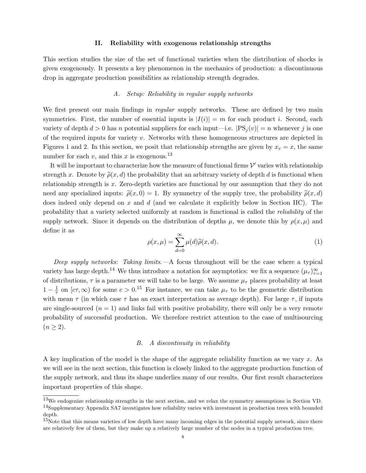#### II. Reliability with exogenous relationship strengths

This section studies the size of the set of functional varieties when the distribution of shocks is given exogenously. It presents a key phenomenon in the mechanics of production: a discontinuous drop in aggregate production possibilities as relationship strength degrades.

# A. Setup: Reliability in regular supply networks

We first present our main findings in *regular* supply networks. These are defined by two main symmetries. First, the number of essential inputs is  $|I(i)| = m$  for each product i. Second, each variety of depth  $d > 0$  has n potential suppliers for each input—i.e.  $|PS_i(v)| = n$  whenever j is one of the required inputs for variety v. Networks with these homogeneous structures are depicted in Figures 1 and 2. In this section, we posit that relationship strengths are given by  $x_v = x$ , the same number for each v, and this x is exogenous.<sup>13</sup>

It will be important to characterize how the measure of functional firms  $\mathcal{V}'$  varies with relationship strength x. Denote by  $\tilde{\rho}(x, d)$  the probability that an arbitrary variety of depth d is functional when relationship strength is x. Zero-depth varieties are functional by our assumption that they do not need any specialized inputs:  $\tilde{\rho}(x, 0) = 1$ . By symmetry of the supply tree, the probability  $\tilde{\rho}(x, d)$ does indeed only depend on x and  $d$  (and we calculate it explicitly below in Section IIC). The probability that a variety selected uniformly at random is functional is called the reliability of the supply network. Since it depends on the distribution of depths  $\mu$ , we denote this by  $\rho(x,\mu)$  and define it as

$$
\rho(x,\mu) = \sum_{d=0}^{\infty} \mu(d)\widetilde{\rho}(x,d). \tag{1}
$$

Deep supply networks: Taking limits.  $-A$  focus throughout will be the case where a typical variety has large depth.<sup>14</sup> We thus introduce a notation for asymptotics: we fix a sequence  $(\mu_{\tau})_{\tau=1}^{\infty}$ of distributions,  $\tau$  is a parameter we will take to be large. We assume  $\mu_{\tau}$  places probability at least  $1-\frac{1}{\tau}$  $\frac{1}{\tau}$  on  $[c\tau,\infty)$  for some  $c > 0$ .<sup>15</sup> For instance, we can take  $\mu_{\tau}$  to be the geometric distribution with mean  $\tau$  (in which case  $\tau$  has an exact interpretation as average depth). For large  $\tau$ , if inputs are single-sourced  $(n = 1)$  and links fail with positive probability, there will only be a very remote probability of successful production. We therefore restrict attention to the case of multisourcing  $(n \geq 2).$ 

### B. A discontinuity in reliability

A key implication of the model is the shape of the aggregate reliability function as we vary x. As we will see in the next section, this function is closely linked to the aggregate production function of the supply network, and thus its shape underlies many of our results. Our first result characterizes important properties of this shape.

<sup>13</sup>We endogenize relationship strengths in the next section, and we relax the symmetry assumptions in Section VD. <sup>14</sup>Supplementary Appendix SA7 investigates how reliability varies with investment in production trees with bounded depth.

 $15$ Note that this means varieties of low depth have many incoming edges in the potential supply network, since there are relatively few of them, but they make up a relatively large number of the nodes in a typical production tree.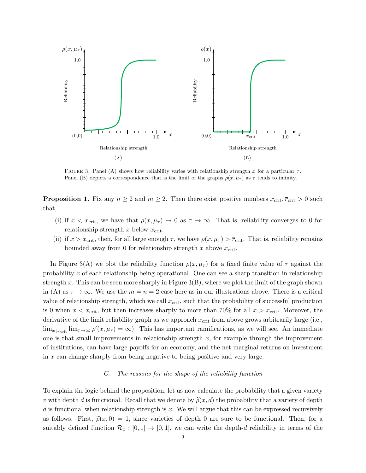

FIGURE 3. Panel (A) shows how reliability varies with relationship strength x for a particular  $\tau$ . Panel (B) depicts a correspondence that is the limit of the graphs  $\rho(x, \mu_{\tau})$  as  $\tau$  tends to infinity.

**Proposition 1.** Fix any  $n \geq 2$  and  $m \geq 2$ . Then there exist positive numbers  $x_{\text{crit}}$ ,  $\overline{r}_{\text{crit}} > 0$  such that,

- (i) if  $x < x_{\text{crit}}$ , we have that  $\rho(x, \mu_{\tau}) \to 0$  as  $\tau \to \infty$ . That is, reliability converges to 0 for relationship strength x below  $x_{\text{crit}}$ .
- (ii) if  $x > x_{\text{crit}}$ , then, for all large enough  $\tau$ , we have  $\rho(x, \mu_{\tau}) > \bar{r}_{\text{crit}}$ . That is, reliability remains bounded away from 0 for relationship strength x above  $x_{\text{crit}}$ .

In Figure 3(A) we plot the reliability function  $\rho(x, \mu_{\tau})$  for a fixed finite value of  $\tau$  against the probability x of each relationship being operational. One can see a sharp transition in relationship strength x. This can be seen more sharply in Figure  $3(B)$ , where we plot the limit of the graph shown in (A) as  $\tau \to \infty$ . We use the  $m = n = 2$  case here as in our illustrations above. There is a critical value of relationship strength, which we call  $x_{\text{crit}}$ , such that the probability of successful production is 0 when  $x < x_{\text{crit}}$ , but then increases sharply to more than 70% for all  $x > x_{\text{crit}}$ . Moreover, the derivative of the limit reliability graph as we approach  $x_{\text{crit}}$  from above grows arbitrarily large (i.e.,  $\lim_{x \downarrow x_{\rm crit}} \lim_{\tau \to \infty} \rho'(x, \mu_{\tau}) = \infty$ . This has important ramifications, as we will see. An immediate one is that small improvements in relationship strength  $x$ , for example through the improvement of institutions, can have large payoffs for an economy, and the net marginal returns on investment in x can change sharply from being negative to being positive and very large.

# C. The reasons for the shape of the reliability function

To explain the logic behind the proposition, let us now calculate the probability that a given variety v with depth d is functional. Recall that we denote by  $\tilde{\rho}(x, d)$  the probability that a variety of depth d is functional when relationship strength is x. We will argue that this can be expressed recursively as follows. First,  $\tilde{\rho}(x, 0) = 1$ , since varieties of depth 0 are sure to be functional. Then, for a suitably defined function  $\mathcal{R}_x : [0,1] \to [0,1]$ , we can write the depth-d reliability in terms of the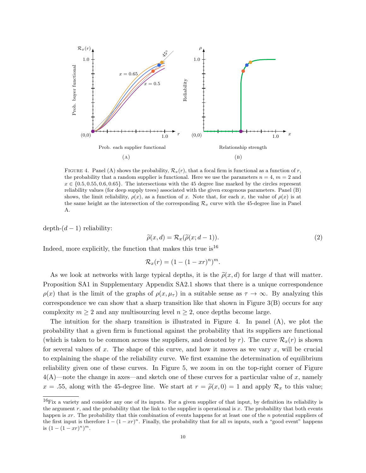

FIGURE 4. Panel (A) shows the probability,  $\mathcal{R}_x(r)$ , that a focal firm is functional as a function of r, the probability that a random supplier is functional. Here we use the parameters  $n = 4$ ,  $m = 2$  and  $x \in \{0.5, 0.55, 0.6, 0.65\}$ . The intersections with the 45 degree line marked by the circles represent reliability values (for deep supply trees) associated with the given exogenous parameters. Panel (B) shows, the limit reliability,  $\rho(x)$ , as a function of x. Note that, for each x, the value of  $\rho(x)$  is at the same height as the intersection of the corresponding  $\mathcal{R}_x$  curve with the 45-degree line in Panel A.

 $depth-(d-1)$  reliability:

$$
\widetilde{\rho}(x,d) = \mathcal{R}_x(\widetilde{\rho}(x;d-1)).
$$
\n(2)

Indeed, more explicitly, the function that makes this true is  $16$ 

$$
\mathcal{R}_x(r) = (1 - (1 - xr)^n)^m.
$$

As we look at networks with large typical depths, it is the  $\tilde{\rho}(x, d)$  for large d that will matter. Proposition SA1 in Supplementary Appendix SA2.1 shows that there is a unique correspondence  $\rho(x)$  that is the limit of the graphs of  $\rho(x, \mu_{\tau})$  in a suitable sense as  $\tau \to \infty$ . By analyzing this correspondence we can show that a sharp transition like that shown in Figure 3(B) occurs for any complexity  $m \geq 2$  and any multisourcing level  $n \geq 2$ , once depths become large.

The intuition for the sharp transition is illustrated in Figure 4. In panel  $(A)$ , we plot the probability that a given firm is functional against the probability that its suppliers are functional (which is taken to be common across the suppliers, and denoted by r). The curve  $\mathcal{R}_x(r)$  is shown for several values of x. The shape of this curve, and how it moves as we vary  $x$ , will be crucial to explaining the shape of the reliability curve. We first examine the determination of equilibrium reliability given one of these curves. In Figure 5, we zoom in on the top-right corner of Figure  $4(A)$ —note the change in axes—and sketch one of these curves for a particular value of x, namely  $x = .55$ , along with the 45-degree line. We start at  $r = \tilde{\rho}(x, 0) = 1$  and apply  $\mathcal{R}_x$  to this value;

 $^{16}$ Fix a variety and consider any one of its inputs. For a given supplier of that input, by definition its reliability is the argument  $r$ , and the probability that the link to the supplier is operational is  $x$ . The probability that both events happen is xr. The probability that this combination of events happens for at least one of the n potential suppliers of the first input is therefore  $1 - (1 - xr)^n$ . Finally, the probability that for all m inputs, such a "good event" happens is  $(1-(1-xr)^n)^m$ .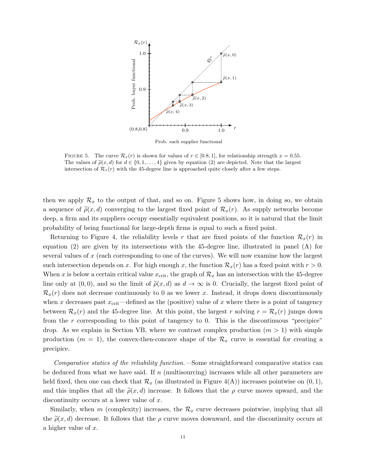

Prob. each supplier functional

FIGURE 5. The curve  $\mathcal{R}_x(r)$  is shown for values of  $r \in [0.8, 1]$ , for relationship strength  $x = 0.55$ . The values of  $\tilde{\rho}(x, d)$  for  $d \in \{0, 1, ..., 4\}$  given by equation (2) are depicted. Note that the largest intersection of  $\mathcal{R}_x(r)$  with the 45-degree line is approached quite closely after a few steps.

then we apply  $\mathcal{R}_x$  to the output of that, and so on. Figure 5 shows how, in doing so, we obtain a sequence of  $\tilde{\rho}(x, d)$  converging to the largest fixed point of  $\mathcal{R}_x(r)$ . As supply networks become deep, a firm and its suppliers occupy essentially equivalent positions, so it is natural that the limit probability of being functional for large-depth firms is equal to such a fixed point.

Returning to Figure 4, the reliability levels r that are fixed points of the function  $\mathcal{R}_x(r)$  in equation (2) are given by its intersections with the 45-degree line, illustrated in panel (A) for several values of  $x$  (each corresponding to one of the curves). We will now examine how the largest such intersection depends on x. For high enough x, the function  $\mathcal{R}_x(r)$  has a fixed point with  $r > 0$ . When x is below a certain critical value  $x_{\text{crit}}$ , the graph of  $\mathcal{R}_x$  has an intersection with the 45-degree line only at  $(0, 0)$ , and so the limit of  $\tilde{\rho}(x, d)$  as  $d \to \infty$  is 0. Crucially, the largest fixed point of  $\mathcal{R}_x(r)$  does not decrease continuously to 0 as we lower x. Instead, it drops down discontinuously when x decreases past  $x_{\text{crit}}$ —defined as the (positive) value of x where there is a point of tangency between  $\mathcal{R}_x(r)$  and the 45-degree line. At this point, the largest r solving  $r = \mathcal{R}_x(r)$  jumps down from the r corresponding to this point of tangency to 0. This is the discontinuous "precipice" drop. As we explain in Section VB, where we contrast complex production  $(m > 1)$  with simple production  $(m = 1)$ , the convex-then-concave shape of the  $\mathcal{R}_x$  curve is essential for creating a precipice.

Comparative statics of the reliability function.—Some straightforward comparative statics can be deduced from what we have said. If  $n$  (multisourcing) increases while all other parameters are held fixed, then one can check that  $\mathcal{R}_x$  (as illustrated in Figure 4(A)) increases pointwise on  $(0, 1)$ , and this implies that all the  $\tilde{\rho}(x, d)$  increase. It follows that the  $\rho$  curve moves upward, and the discontinuity occurs at a lower value of x.

Similarly, when m (complexity) increases, the  $\mathcal{R}_x$  curve decreases pointwise, implying that all the  $\tilde{\rho}(x, d)$  decrease. It follows that the  $\rho$  curve moves downward, and the discontinuity occurs at a higher value of x.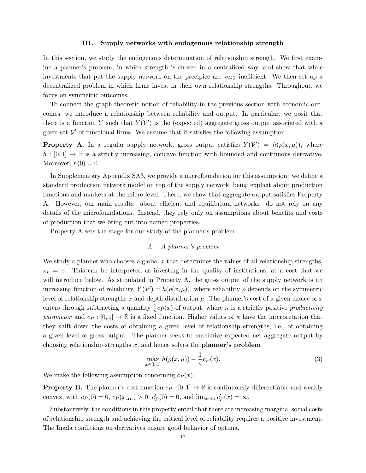#### III. Supply networks with endogenous relationship strength

In this section, we study the endogenous determination of relationship strength. We first examine a planner's problem, in which strength is chosen in a centralized way, and show that while investments that put the supply network on the precipice are very inefficient. We then set up a decentralized problem in which firms invest in their own relationship strengths. Throughout, we focus on symmetric outcomes.

To connect the graph-theoretic notion of reliability in the previous section with economic outcomes, we introduce a relationship between reliability and output. In particular, we posit that there is a function Y such that  $Y(V')$  is the (expected) aggregate gross output associated with a given set  $\mathcal{V}'$  of functional firms. We assume that it satisfies the following assumption:

**Property A.** In a regular supply network, gross output satisfies  $Y(V') = h(\rho(x,\mu))$ , where  $h : [0,1] \to \mathbb{R}$  is a strictly increasing, concave function with bounded and continuous derivative. Moreover,  $h(0) = 0$ .

In Supplementary Appendix SA3, we provide a microfoundation for this assumption: we define a standard production network model on top of the supply network, being explicit about production functions and markets at the micro level. There, we show that aggregate output satisfies Property A. However, our main results—about efficient and equilibrium networks—do not rely on any details of the microfoundations. Instead, they rely only on assumptions about benefits and costs of production that we bring out into named properties.

Property A sets the stage for our study of the planner's problem.

# A. A planner's problem

We study a planner who chooses a global  $x$  that determines the values of all relationship strengths,  $x_v = x$ . This can be interpreted as investing in the quality of institutions, at a cost that we will introduce below. As stipulated in Property A, the gross output of the supply network is an increasing function of reliability,  $Y(V') = h(\rho(x,\mu))$ , where reliability  $\rho$  depends on the symmetric level of relationship strengths x and depth distribution  $\mu$ . The planner's cost of a given choice of x enters through subtracting a quantity  $\frac{1}{\kappa} c_P(x)$  of output, where  $\kappa$  is a strictly positive productivity parameter and  $c_P : [0, 1] \to \mathbb{R}$  is a fixed function. Higher values of  $\kappa$  have the interpretation that they shift down the costs of obtaining a given level of relationship strengths, i.e., of obtaining a given level of gross output. The planner seeks to maximize expected net aggregate output by choosing relationship strengths  $x$ , and hence solves the **planner's problem** 

$$
\max_{x \in [0,1]} h(\rho(x,\mu)) - \frac{1}{\kappa} c_P(x). \tag{3}
$$

We make the following assumption concerning  $c_P (x)$ :

**Property B.** The planner's cost function  $c_P : [0, 1] \to \mathbb{R}$  is continuously differentiable and weakly convex, with  $c_P(0) = 0$ ,  $c_P(x_{\text{crit}}) > 0$ ,  $c_P'(0) = 0$ , and  $\lim_{x \to 1} c_P'(x) = \infty$ .

Substantively, the conditions in this property entail that there are increasing marginal social costs of relationship strength and achieving the critical level of reliability requires a positive investment. The Inada conditions on derivatives ensure good behavior of optima.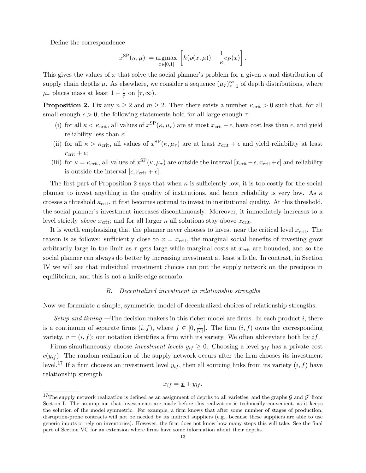Define the correspondence

$$
x^{\rm SP}(\kappa,\mu) := \underset{x \in [0,1]}{\operatorname{argmax}} \left[ h(\rho(x,\mu)) - \frac{1}{\kappa} c_P(x) \right].
$$

This gives the values of x that solve the social planner's problem for a given  $\kappa$  and distribution of supply chain depths  $\mu$ . As elsewhere, we consider a sequence  $(\mu_{\tau})_{\tau=1}^{\infty}$  of depth distributions, where  $\mu_{\tau}$  places mass at least  $1-\frac{1}{\tau}$  $\frac{1}{\tau}$  on  $[\tau, \infty)$ .

**Proposition 2.** Fix any  $n \geq 2$  and  $m \geq 2$ . Then there exists a number  $\kappa_{\rm crit} > 0$  such that, for all small enough  $\epsilon > 0$ , the following statements hold for all large enough  $\tau$ :

- (i) for all  $\kappa < \kappa_{\rm crit}$ , all values of  $x^{\rm SP}(\kappa, \mu_\tau)$  are at most  $x_{\rm crit} \epsilon$ , have cost less than  $\epsilon$ , and yield reliability less than  $\epsilon$ ;
- (ii) for all  $\kappa > \kappa_{\rm crit}$ , all values of  $x^{\rm SP}(\kappa, \mu_\tau)$  are at least  $x_{\rm crit} + \epsilon$  and yield reliability at least  $r_{\rm crit} + \epsilon;$
- (iii) for  $\kappa = \kappa_{\rm crit}$ , all values of  $x^{\rm SP}(\kappa, \mu_\tau)$  are outside the interval  $[x_{\rm crit} \epsilon, x_{\rm crit} + \epsilon]$  and reliability is outside the interval  $[\epsilon, r_{\text{crit}} + \epsilon]$ .

The first part of Proposition 2 says that when  $\kappa$  is sufficiently low, it is too costly for the social planner to invest anything in the quality of institutions, and hence reliability is very low. As  $\kappa$ crosses a threshold  $\kappa_{\rm crit}$ , it first becomes optimal to invest in institutional quality. At this threshold, the social planner's investment increases discontinuously. Moreover, it immediately increases to a level strictly *above*  $x_{\text{crit}}$ ; and for all larger  $\kappa$  all solutions stay above  $x_{\text{crit}}$ .

It is worth emphasizing that the planner never chooses to invest near the critical level  $x_{\text{crit}}$ . The reason is as follows: sufficiently close to  $x = x_{\text{crit}}$ , the marginal social benefits of investing grow arbitrarily large in the limit as  $\tau$  gets large while marginal costs at  $x_{\text{crit}}$  are bounded, and so the social planner can always do better by increasing investment at least a little. In contrast, in Section IV we will see that individual investment choices can put the supply network on the precipice in equilibrium, and this is not a knife-edge scenario.

#### B. Decentralized investment in relationship strengths

Now we formulate a simple, symmetric, model of decentralized choices of relationship strengths.

Setup and timing.—The decision-makers in this richer model are firms. In each product i, there is a continuum of separate firms  $(i, f)$ , where  $f \in [0, \frac{1}{|\mathcal{I}|}]$ . The firm  $(i, f)$  owns the corresponding variety,  $v = (i, f)$ ; our notation identifies a firm with its variety. We often abbreviate both by if.

Firms simultaneously choose *investment levels*  $y_{if} \geq 0$ . Choosing a level  $y_{if}$  has a private cost  $c(y_{if})$ . The random realization of the supply network occurs after the firm chooses its investment level.<sup>17</sup> If a firm chooses an investment level  $y_{if}$ , then all sourcing links from its variety  $(i, f)$  have relationship strength

$$
x_{if} = \underline{x} + y_{if}.
$$

<sup>&</sup>lt;sup>17</sup>The supply network realization is defined as an assignment of depths to all varieties, and the graphs  $G$  and  $G'$  from Section I. The assumption that investments are made before this realization is technically convenient, as it keeps the solution of the model symmetric. For example, a firm knows that after some number of stages of production, disruption-prone contracts will not be needed by its indirect suppliers (e.g., because these suppliers are able to use generic inputs or rely on inventories). However, the firm does not know how many steps this will take. See the final part of Section VC for an extension where firms have some information about their depths.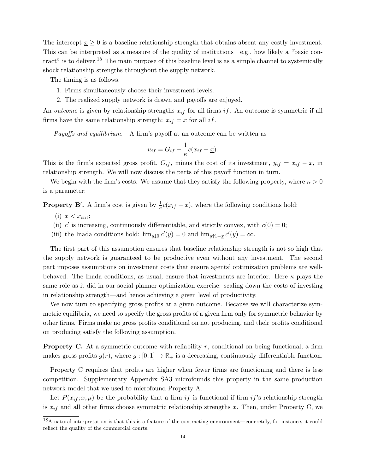The intercept  $x \geq 0$  is a baseline relationship strength that obtains absent any costly investment. This can be interpreted as a measure of the quality of institutions—e.g., how likely a "basic contract" is to deliver.<sup>18</sup> The main purpose of this baseline level is as a simple channel to systemically shock relationship strengths throughout the supply network.

The timing is as follows.

- 1. Firms simultaneously choose their investment levels.
- 2. The realized supply network is drawn and payoffs are enjoyed.

An *outcome* is given by relationship strengths  $x_{if}$  for all firms if. An outcome is symmetric if all firms have the same relationship strength:  $x_{if} = x$  for all if.

*Payoffs and equilibrium.*—A firm's payoff at an outcome can be written as

$$
u_{if} = G_{if} - \frac{1}{\kappa}c(x_{if} - \underline{x}).
$$

This is the firm's expected gross profit,  $G_{if}$ , minus the cost of its investment,  $y_{if} = x_{if} - \underline{x}$ , in relationship strength. We will now discuss the parts of this payoff function in turn.

We begin with the firm's costs. We assume that they satisfy the following property, where  $\kappa > 0$ is a parameter:

**Property B'.** A firm's cost is given by  $\frac{1}{\kappa}c(x_{if} - \underline{x})$ , where the following conditions hold:

- (i)  $\underline{x} < x_{\text{crit}};$
- (ii) c' is increasing, continuously differentiable, and strictly convex, with  $c(0) = 0$ ;
- (iii) the Inada conditions hold:  $\lim_{y\downarrow 0} c'(y) = 0$  and  $\lim_{y\uparrow 1-\underline{x}} c'(y) = \infty$ .

The first part of this assumption ensures that baseline relationship strength is not so high that the supply network is guaranteed to be productive even without any investment. The second part imposes assumptions on investment costs that ensure agents' optimization problems are wellbehaved. The Inada conditions, as usual, ensure that investments are interior. Here  $\kappa$  plays the same role as it did in our social planner optimization exercise: scaling down the costs of investing in relationship strength—and hence achieving a given level of productivity.

We now turn to specifying gross profits at a given outcome. Because we will characterize symmetric equilibria, we need to specify the gross profits of a given firm only for symmetric behavior by other firms. Firms make no gross profits conditional on not producing, and their profits conditional on producing satisfy the following assumption.

**Property C.** At a symmetric outcome with reliability r, conditional on being functional, a firm makes gross profits  $g(r)$ , where  $g: [0, 1] \to \mathbb{R}_+$  is a decreasing, continuously differentiable function.

Property C requires that profits are higher when fewer firms are functioning and there is less competition. Supplementary Appendix SA3 microfounds this property in the same production network model that we used to microfound Property A.

Let  $P(x_{if}; x, \mu)$  be the probability that a firm if is functional if firm if's relationship strength is  $x_{if}$  and all other firms choose symmetric relationship strengths x. Then, under Property C, we

 $18A$  natural interpretation is that this is a feature of the contracting environment—concretely, for instance, it could reflect the quality of the commercial courts.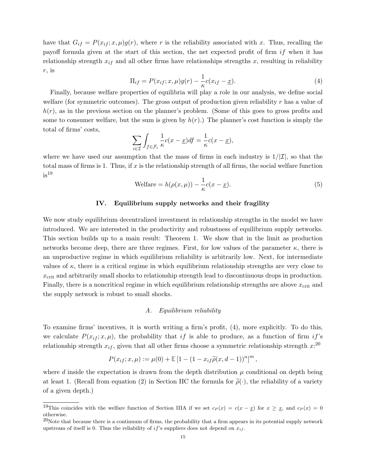have that  $G_{if} = P(x_{if}; x, \mu)g(r)$ , where r is the reliability associated with x. Thus, recalling the payoff formula given at the start of this section, the net expected profit of firm  $if$  when it has relationship strength  $x_{if}$  and all other firms have relationships strengths x, resulting in reliability  $r$ , is

$$
\Pi_{if} = P(x_{if}; x, \mu)g(r) - \frac{1}{\kappa}c(x_{if} - \underline{x}).
$$
\n(4)

Finally, because welfare properties of equilibria will play a role in our analysis, we define social welfare (for symmetric outcomes). The gross output of production given reliability  $r$  has a value of  $h(r)$ , as in the previous section on the planner's problem. (Some of this goes to gross profits and some to consumer welfare, but the sum is given by  $h(r)$ .) The planner's cost function is simply the total of firms' costs,

$$
\sum_{i \in \mathcal{I}} \int_{f \in \mathcal{F}_i} \frac{1}{\kappa} c(x - \underline{x}) df = \frac{1}{\kappa} c(x - \underline{x}),
$$

where we have used our assumption that the mass of firms in each industry is  $1/|\mathcal{I}|$ , so that the total mass of firms is 1. Thus, if  $x$  is the relationship strength of all firms, the social welfare function  $is^{19}$ 

$$
\text{Welfare} = h(\rho(x,\mu)) - \frac{1}{\kappa}c(x-\underline{x}).\tag{5}
$$

### IV. Equilibrium supply networks and their fragility

We now study equilibrium decentralized investment in relationship strengths in the model we have introduced. We are interested in the productivity and robustness of equilibrium supply networks. This section builds up to a main result: Theorem 1. We show that in the limit as production networks become deep, there are three regimes. First, for low values of the parameter  $\kappa$ , there is an unproductive regime in which equilibrium reliability is arbitrarily low. Next, for intermediate values of  $\kappa$ , there is a critical regime in which equilibrium relationship strengths are very close to  $x_{\text{crit}}$  and arbitrarily small shocks to relationship strength lead to discontinuous drops in production. Finally, there is a noncritical regime in which equilibrium relationship strengths are above  $x_{\text{crit}}$  and the supply network is robust to small shocks.

# A. Equilibrium reliability

To examine firms' incentives, it is worth writing a firm's profit, (4), more explicitly. To do this, we calculate  $P(x_{i}, x, \mu)$ , the probability that if is able to produce, as a function of firm if's relationship strength  $x_{if}$ , given that all other firms choose a symmetric relationship strength  $x:^{20}$ 

$$
P(x_{if}; x, \mu) := \mu(0) + \mathbb{E}[1 - (1 - x_{if}\widetilde{\rho}(x, d-1))^n]^m,
$$

where d inside the expectation is drawn from the depth distribution  $\mu$  conditional on depth being at least 1. (Recall from equation (2) in Section IIC the formula for  $\tilde{\rho}(\cdot)$ , the reliability of a variety of a given depth.)

<sup>&</sup>lt;sup>19</sup>This coincides with the welfare function of Section IIIA if we set  $c_P(x) = c(x - x)$  for  $x \ge x$ , and  $c_P(x) = 0$ otherwise.

 $^{20}$ Note that because there is a continuum of firms, the probability that a firm appears in its potential supply network upstream of itself is 0. Thus the reliability of if's suppliers does not depend on  $x_{if}$ .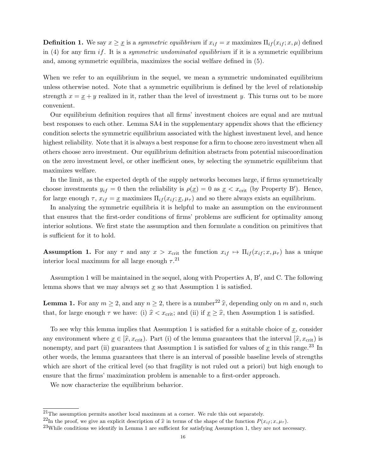**Definition 1.** We say  $x \geq \underline{x}$  is a symmetric equilibrium if  $x_{if} = x$  maximizes  $\Pi_{if}(x_{if}; x, \mu)$  defined in (4) for any firm if. It is a symmetric undominated equilibrium if it is a symmetric equilibrium and, among symmetric equilibria, maximizes the social welfare defined in (5).

When we refer to an equilibrium in the sequel, we mean a symmetric undominated equilibrium unless otherwise noted. Note that a symmetric equilibrium is defined by the level of relationship strength  $x = x + y$  realized in it, rather than the level of investment y. This turns out to be more convenient.

Our equilibrium definition requires that all firms' investment choices are equal and are mutual best responses to each other. Lemma SA4 in the supplementary appendix shows that the efficiency condition selects the symmetric equilibrium associated with the highest investment level, and hence highest reliability. Note that it is always a best response for a firm to choose zero investment when all others choose zero investment. Our equilibrium definition abstracts from potential miscoordination on the zero investment level, or other inefficient ones, by selecting the symmetric equilibrium that maximizes welfare.

In the limit, as the expected depth of the supply networks becomes large, if firms symmetrically choose investments  $y_{if} = 0$  then the reliability is  $\rho(\underline{x}) = 0$  as  $\underline{x} < x_{crit}$  (by Property B'). Hence, for large enough  $\tau$ ,  $x_{if} = \underline{x}$  maximizes  $\Pi_{if}(x_{if}; \underline{x}, \mu_{\tau})$  and so there always exists an equilibrium.

In analyzing the symmetric equilibria it is helpful to make an assumption on the environment that ensures that the first-order conditions of firms' problems are sufficient for optimality among interior solutions. We first state the assumption and then formulate a condition on primitives that is sufficient for it to hold.

**Assumption 1.** For any  $\tau$  and any  $x > x_{\text{crit}}$  the function  $x_{if} \mapsto \prod_{if} (x_{if}; x, \mu_{\tau})$  has a unique interior local maximum for all large enough  $\tau$ .<sup>21</sup>

Assumption 1 will be maintained in the sequel, along with Properties A, B′ , and C. The following lemma shows that we may always set  $x$  so that Assumption 1 is satisfied.

**Lemma 1.** For any  $m \geq 2$ , and any  $n \geq 2$ , there is a number  $22 \hat{x}$ , depending only on m and n, such that, for large enough  $\tau$  we have: (i)  $\hat{x} < x_{\text{crit}}$ ; and (ii) if  $\underline{x} \geq \hat{x}$ , then Assumption 1 is satisfied.

To see why this lemma implies that Assumption 1 is satisfied for a suitable choice of  $\underline{x}$ , consider any environment where  $\underline{x} \in [\hat{x}, x_{\text{crit}})$ . Part (i) of the lemma guarantees that the interval  $[\hat{x}, x_{\text{crit}})$  is nonempty, and part (ii) guarantees that Assumption 1 is satisfied for values of  $x$  in this range.<sup>23</sup> In other words, the lemma guarantees that there is an interval of possible baseline levels of strengths which are short of the critical level (so that fragility is not ruled out a priori) but high enough to ensure that the firms' maximization problem is amenable to a first-order approach.

We now characterize the equilibrium behavior.

 $21$ The assumption permits another local maximum at a corner. We rule this out separately.

<sup>&</sup>lt;sup>22</sup>In the proof, we give an explicit description of  $\hat{x}$  in terms of the shape of the function  $P(x_{if}; x, \mu_{\tau})$ .

<sup>23</sup>While conditions we identify in Lemma 1 are sufficient for satisfying Assumption 1, they are not necessary.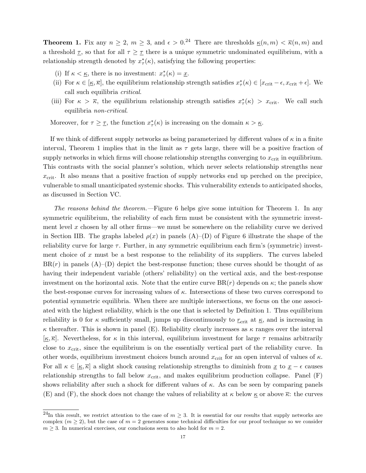**Theorem 1.** Fix any  $n \geq 2$ ,  $m \geq 3$ , and  $\epsilon > 0$ .<sup>24</sup> There are thresholds  $\underline{\kappa}(n,m) < \overline{\kappa}(n,m)$  and a threshold  $\tau$ , so that for all  $\tau \geq \tau$  there is a unique symmetric undominated equilibrium, with a relationship strength denoted by  $x^*_{\tau}(\kappa)$ , satisfying the following properties:

- (i) If  $\kappa < \underline{\kappa}$ , there is no investment:  $x^*_{\tau}(\kappa) = \underline{x}$ .
- (ii) For  $\kappa \in [\underline{\kappa}, \overline{\kappa}]$ , the equilibrium relationship strength satisfies  $x^*_{\tau}(\kappa) \in [x_{\text{crit}} \epsilon, x_{\text{crit}} + \epsilon]$ . We call such equilibria critical.
- (iii) For  $\kappa > \bar{\kappa}$ , the equilibrium relationship strength satisfies  $x^*_{\tau}(\kappa) > x_{\text{crit}}$ . We call such equilibria non-critical.

Moreover, for  $\tau \geq \tau$ , the function  $x^*_{\tau}(\kappa)$  is increasing on the domain  $\kappa > \underline{\kappa}$ .

If we think of different supply networks as being parameterized by different values of  $\kappa$  in a finite interval, Theorem 1 implies that in the limit as  $\tau$  gets large, there will be a positive fraction of supply networks in which firms will choose relationship strengths converging to  $x_{\text{crit}}$  in equilibrium. This contrasts with the social planner's solution, which never selects relationship strengths near  $x_{\text{crit}}$ . It also means that a positive fraction of supply networks end up perched on the precipice, vulnerable to small unanticipated systemic shocks. This vulnerability extends to anticipated shocks, as discussed in Section VC.

The reasons behind the theorem.—Figure 6 helps give some intuition for Theorem 1. In any symmetric equilibrium, the reliability of each firm must be consistent with the symmetric investment level  $x$  chosen by all other firms—we must be somewhere on the reliability curve we derived in Section IIB. The graphs labeled  $\rho(x)$  in panels  $(A)$ –(D) of Figure 6 illustrate the shape of the reliability curve for large  $\tau$ . Further, in any symmetric equilibrium each firm's (symmetric) investment choice of x must be a best response to the reliability of its suppliers. The curves labeled  $BR(r)$  in panels  $(A)$ –(D) depict the best-response function; these curves should be thought of as having their independent variable (others' reliability) on the vertical axis, and the best-response investment on the horizontal axis. Note that the entire curve  $BR(r)$  depends on  $\kappa$ ; the panels show the best-response curves for increasing values of  $\kappa$ . Intersections of these two curves correspond to potential symmetric equilibria. When there are multiple intersections, we focus on the one associated with the highest reliability, which is the one that is selected by Definition 1. Thus equilibrium reliability is 0 for  $\kappa$  sufficiently small, jumps up discontinuously to  $r_{\rm crit}$  at  $\kappa$ , and is increasing in  $\kappa$  thereafter. This is shown in panel (E). Reliability clearly increases as  $\kappa$  ranges over the interval  $[\kappa, \bar{\kappa}]$ . Nevertheless, for  $\kappa$  in this interval, equilibrium investment for large  $\tau$  remains arbitrarily close to  $x_{\text{crit}}$ , since the equilibrium is on the essentially vertical part of the reliability curve. In other words, equilibrium investment choices bunch around  $x_{\text{crit}}$  for an open interval of values of  $\kappa$ . For all  $\kappa \in [\kappa, \overline{\kappa}]$  a slight shock causing relationship strengths to diminish from  $\underline{x}$  to  $\underline{x} - \epsilon$  causes relationship strengths to fall below  $x_{\text{crit}}$ , and makes equilibrium production collapse. Panel (F) shows reliability after such a shock for different values of  $\kappa$ . As can be seen by comparing panels (E) and (F), the shock does not change the values of reliability at  $\kappa$  below  $\underline{\kappa}$  or above  $\overline{\kappa}$ : the curves

<sup>&</sup>lt;sup>24</sup>In this result, we restrict attention to the case of  $m \geq 3$ . It is essential for our results that supply networks are complex  $(m \ge 2)$ , but the case of  $m = 2$  generates some technical difficulties for our proof technique so we consider  $m \geq 3$ . In numerical exercises, our conclusions seem to also hold for  $m = 2$ .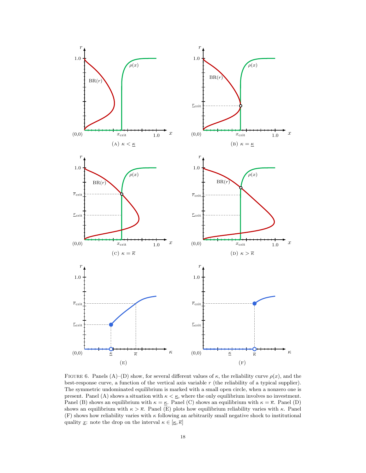

FIGURE 6. Panels (A)–(D) show, for several different values of  $\kappa$ , the reliability curve  $\rho(x)$ , and the best-response curve, a function of the vertical axis variable r (the reliability of a typical supplier). The symmetric undominated equilibrium is marked with a small open circle, when a nonzero one is present. Panel (A) shows a situation with  $\kappa < \underline{\kappa}$ , where the only equilibrium involves no investment. Panel (B) shows an equilibrium with  $\kappa = \underline{\kappa}$ . Panel (C) shows an equilibrium with  $\kappa = \overline{\kappa}$ . Panel (D) shows an equilibrium with  $\kappa > \overline{\kappa}$ . Panel (E) plots how equilibrium reliability varies with  $\kappa$ . Panel  $(F)$  shows how reliability varies with  $\kappa$  following an arbitrarily small negative shock to institutional quality <u>x</u>: note the drop on the interval  $\kappa \in [\underline{\kappa}, \overline{\kappa}]$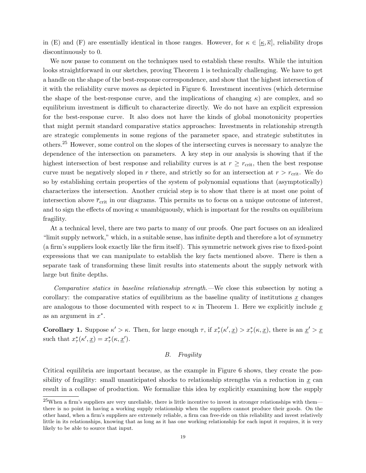in (E) and (F) are essentially identical in those ranges. However, for  $\kappa \in [\kappa, \overline{\kappa}]$ , reliability drops discontinuously to 0.

We now pause to comment on the techniques used to establish these results. While the intuition looks straightforward in our sketches, proving Theorem 1 is technically challenging. We have to get a handle on the shape of the best-response correspondence, and show that the highest intersection of it with the reliability curve moves as depicted in Figure 6. Investment incentives (which determine the shape of the best-response curve, and the implications of changing  $\kappa$ ) are complex, and so equilibrium investment is difficult to characterize directly. We do not have an explicit expression for the best-response curve. It also does not have the kinds of global monotonicity properties that might permit standard comparative statics approaches: Investments in relationship strength are strategic complements in some regions of the parameter space, and strategic substitutes in others.<sup>25</sup> However, some control on the slopes of the intersecting curves is necessary to analyze the dependence of the intersection on parameters. A key step in our analysis is showing that if the highest intersection of best response and reliability curves is at  $r \geq r_{\text{crit}}$ , then the best response curve must be negatively sloped in r there, and strictly so for an intersection at  $r > r_{\text{crit}}$ . We do so by establishing certain properties of the system of polynomial equations that (asymptotically) characterizes the intersection. Another cruicial step is to show that there is at most one point of intersection above  $\bar{r}_{\text{crit}}$  in our diagrams. This permits us to focus on a unique outcome of interest, and to sign the effects of moving  $\kappa$  unambiguously, which is important for the results on equilibrium fragility.

At a technical level, there are two parts to many of our proofs. One part focuses on an idealized "limit supply network," which, in a suitable sense, has infinite depth and therefore a lot of symmetry (a firm's suppliers look exactly like the firm itself). This symmetric network gives rise to fixed-point expressions that we can manipulate to establish the key facts mentioned above. There is then a separate task of transforming these limit results into statements about the supply network with large but finite depths.

Comparative statics in baseline relationship strength.—We close this subsection by noting a corollary: the comparative statics of equilibrium as the baseline quality of institutions  $x$  changes are analogous to those documented with respect to  $\kappa$  in Theorem 1. Here we explicitly include x as an argument in  $x^*$ .

**Corollary 1.** Suppose  $\kappa' > \kappa$ . Then, for large enough  $\tau$ , if  $x^*_{\tau}(\kappa', \underline{x}) > x^*_{\tau}(\kappa, \underline{x})$ , there is an  $\underline{x}' > \underline{x}$ such that  $x^*_{\tau}(\kappa', \underline{x}) = x^*_{\tau}(\kappa, \underline{x}')$ .

#### B. Fragility

Critical equilibria are important because, as the example in Figure 6 shows, they create the possibility of fragility: small unanticipated shocks to relationship strengths via a reduction in  $x$  can result in a collapse of production. We formalize this idea by explicitly examining how the supply

 $^{25}$ When a firm's suppliers are very unreliable, there is little incentive to invest in stronger relationships with them there is no point in having a working supply relationship when the suppliers cannot produce their goods. On the other hand, when a firm's suppliers are extremely reliable, a firm can free-ride on this reliability and invest relatively little in its relationships, knowing that as long as it has one working relationship for each input it requires, it is very likely to be able to source that input.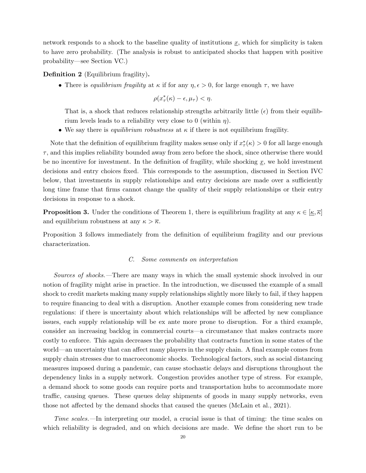network responds to a shock to the baseline quality of institutions  $\underline{x}$ , which for simplicity is taken to have zero probability. (The analysis is robust to anticipated shocks that happen with positive probability—see Section VC.)

Definition 2 (Equilibrium fragility).

• There is *equilibrium fragility* at  $\kappa$  if for any  $\eta, \epsilon > 0$ , for large enough  $\tau$ , we have

$$
\rho(x_{\tau}^*(\kappa)-\epsilon,\mu_{\tau})<\eta.
$$

That is, a shock that reduces relationship strengths arbitrarily little  $(\epsilon)$  from their equilibrium levels leads to a reliability very close to 0 (within  $\eta$ ).

• We say there is *equilibrium robustness* at  $\kappa$  if there is not equilibrium fragility.

Note that the definition of equilibrium fragility makes sense only if  $x^*_{\tau}(\kappa) > 0$  for all large enough  $\tau$ , and this implies reliability bounded away from zero before the shock, since otherwise there would be no incentive for investment. In the definition of fragility, while shocking  $\underline{x}$ , we hold investment decisions and entry choices fixed. This corresponds to the assumption, discussed in Section IVC below, that investments in supply relationships and entry decisions are made over a sufficiently long time frame that firms cannot change the quality of their supply relationships or their entry decisions in response to a shock.

**Proposition 3.** Under the conditions of Theorem 1, there is equilibrium fragility at any  $\kappa \in [\underline{\kappa}, \overline{\kappa}]$ and equilibrium robustness at any  $\kappa > \overline{\kappa}$ .

Proposition 3 follows immediately from the definition of equilibrium fragility and our previous characterization.

# C. Some comments on interpretation

Sources of shocks.—There are many ways in which the small systemic shock involved in our notion of fragility might arise in practice. In the introduction, we discussed the example of a small shock to credit markets making many supply relationships slightly more likely to fail, if they happen to require financing to deal with a disruption. Another example comes from considering new trade regulations: if there is uncertainty about which relationships will be affected by new compliance issues, each supply relationship will be ex ante more prone to disruption. For a third example, consider an increasing backlog in commercial courts—a circumstance that makes contracts more costly to enforce. This again decreases the probability that contracts function in some states of the world—an uncertainty that can affect many players in the supply chain. A final example comes from supply chain stresses due to macroeconomic shocks. Technological factors, such as social distancing measures imposed during a pandemic, can cause stochastic delays and disruptions throughout the dependency links in a supply network. Congestion provides another type of stress. For example, a demand shock to some goods can require ports and transportation hubs to accommodate more traffic, causing queues. These queues delay shipments of goods in many supply networks, even those not affected by the demand shocks that caused the queues (McLain et al., 2021).

Time scales.—In interpreting our model, a crucial issue is that of timing: the time scales on which reliability is degraded, and on which decisions are made. We define the short run to be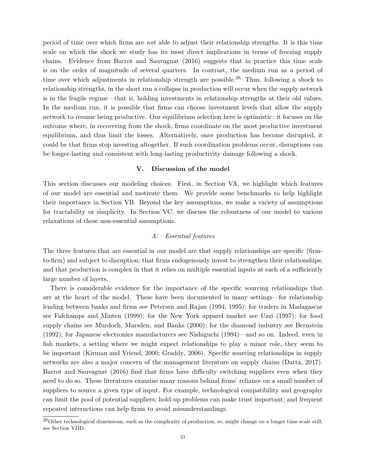period of time over which firms are not able to adjust their relationship strengths. It is this time scale on which the shock we study has its most direct implications in terms of freezing supply chains. Evidence from Barrot and Sauvagnat (2016) suggests that in practice this time scale is on the order of magnitude of several quarters. In contrast, the medium run as a period of time over which adjustments in relationship strength are possible.<sup>26</sup> Thus, following a shock to relationship strengths, in the short run a collapse in production will occur when the supply network is in the fragile regime—that is, holding investments in relationship strengths at their old values. In the medium run, it is possible that firms can choose investment levels that allow the supply network to resume being productive. Our equilibrium selection here is optimistic: it focuses on the outcome where, in recovering from the shock, firms coordinate on the most productive investment equilibrium, and thus limit the losses. Alternatively, once production has become disrupted, it could be that firms stop investing altogether. If such coordination problems occur, disruptions can be longer-lasting and consistent with long-lasting productivity damage following a shock.

# V. Discussion of the model

This section discusses our modeling choices. First, in Section VA, we highlight which features of our model are essential and motivate them. We provide some benchmarks to help highlight their importance in Section VB. Beyond the key assumptions, we make a variety of assumptions for tractability or simplicity. In Section VC, we discuss the robustness of our model to various relaxations of these non-essential assumptions.

# A. Essential features

The three features that are essential in our model are that supply relationships are specific (firmto-firm) and subject to disruption; that firms endogenously invest to strengthen their relationships; and that production is complex in that it relies on multiple essential inputs at each of a sufficiently large number of layers.

There is considerable evidence for the importance of the specific sourcing relationships that are at the heart of the model. These have been documented in many settings—for relationship lending between banks and firms see Petersen and Rajan (1994, 1995); for traders in Madagascar see Fafchamps and Minten (1999); for the New York apparel market see Uzzi (1997); for food supply chains see Murdoch, Marsden, and Banks (2000); for the diamond industry see Bernstein (1992); for Japanese electronics manufacturers see Nishiguchi (1994)—and so on. Indeed, even in fish markets, a setting where we might expect relationships to play a minor role, they seem to be important (Kirman and Vriend, 2000; Graddy, 2006). Specific sourcing relationships in supply networks are also a major concern of the management literature on supply chains (Datta, 2017). Barrot and Sauvagnat (2016) find that firms have difficulty switching suppliers even when they need to do so. These literatures examine many reasons behind firms' reliance on a small number of suppliers to source a given type of input. For example, technological compatibility and geography can limit the pool of potential suppliers; hold-up problems can make trust important; and frequent repeated interactions can help firms to avoid misunderstandings.

<sup>&</sup>lt;sup>26</sup>Other technological dimensions, such as the complexity of production, m, might change on a longer time scale still; see Section VIID.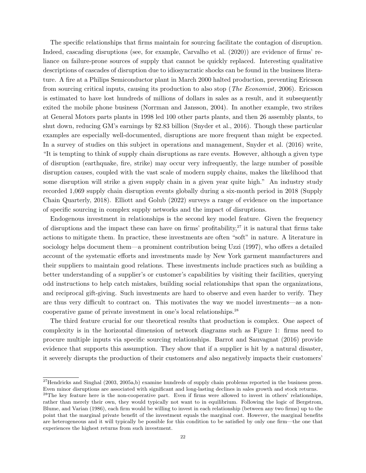The specific relationships that firms maintain for sourcing facilitate the contagion of disruption. Indeed, cascading disruptions (see, for example, Carvalho et al. (2020)) are evidence of firms' reliance on failure-prone sources of supply that cannot be quickly replaced. Interesting qualitative descriptions of cascades of disruption due to idiosyncratic shocks can be found in the business literature. A fire at a Philips Semiconductor plant in March 2000 halted production, preventing Ericsson from sourcing critical inputs, causing its production to also stop (The Economist, 2006). Ericsson is estimated to have lost hundreds of millions of dollars in sales as a result, and it subsequently exited the mobile phone business (Norrman and Jansson, 2004). In another example, two strikes at General Motors parts plants in 1998 led 100 other parts plants, and then 26 assembly plants, to shut down, reducing GM's earnings by \$2.83 billion (Snyder et al., 2016). Though these particular examples are especially well-documented, disruptions are more frequent than might be expected. In a survey of studies on this subject in operations and management, Snyder et al. (2016) write, "It is tempting to think of supply chain disruptions as rare events. However, although a given type of disruption (earthquake, fire, strike) may occur very infrequently, the large number of possible disruption causes, coupled with the vast scale of modern supply chains, makes the likelihood that some disruption will strike a given supply chain in a given year quite high." An industry study recorded 1,069 supply chain disruption events globally during a six-month period in 2018 (Supply Chain Quarterly, 2018). Elliott and Golub (2022) surveys a range of evidence on the importance of specific sourcing in complex supply networks and the impact of disruptions.

Endogenous investment in relationships is the second key model feature. Given the frequency of disruptions and the impact these can have on firms' profitability, $27$  it is natural that firms take actions to mitigate them. In practice, these investments are often "soft" in nature. A literature in sociology helps document them—a prominent contribution being Uzzi (1997), who offers a detailed account of the systematic efforts and investments made by New York garment manufacturers and their suppliers to maintain good relations. These investments include practices such as building a better understanding of a supplier's or customer's capabilities by visiting their facilities, querying odd instructions to help catch mistakes, building social relationships that span the organizations, and reciprocal gift-giving. Such investments are hard to observe and even harder to verify. They are thus very difficult to contract on. This motivates the way we model investments—as a noncooperative game of private investment in one's local relationships.<sup>28</sup>

The third feature crucial for our theoretical results that production is complex. One aspect of complexity is in the horizontal dimension of network diagrams such as Figure 1: firms need to procure multiple inputs via specific sourcing relationships. Barrot and Sauvagnat (2016) provide evidence that supports this assumption. They show that if a supplier is hit by a natural disaster, it severely disrupts the production of their customers and also negatively impacts their customers'

 $^{27}$ Hendricks and Singhal (2003, 2005a,b) examine hundreds of supply chain problems reported in the business press. Even minor disruptions are associated with significant and long-lasting declines in sales growth and stock returns.

 $28$ The key feature here is the non-cooperative part. Even if firms were allowed to invest in others' relationships, rather than merely their own, they would typically not want to in equilibrium. Following the logic of Bergstrom, Blume, and Varian (1986), each firm would be willing to invest in each relationship (between any two firms) up to the point that the marginal private benefit of the investment equals the marginal cost. However, the marginal benefits are heterogeneous and it will typically be possible for this condition to be satisfied by only one firm—the one that experiences the highest returns from such investment.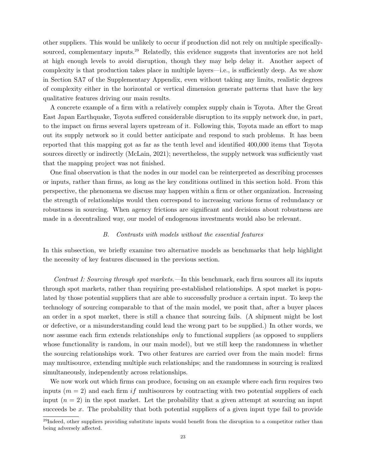other suppliers. This would be unlikely to occur if production did not rely on multiple specificallysourced, complementary inputs.<sup>29</sup> Relatedly, this evidence suggests that inventories are not held at high enough levels to avoid disruption, though they may help delay it. Another aspect of complexity is that production takes place in multiple layers—i.e., is sufficiently deep. As we show in Section SA7 of the Supplementary Appendix, even without taking any limits, realistic degrees of complexity either in the horizontal or vertical dimension generate patterns that have the key qualitative features driving our main results.

A concrete example of a firm with a relatively complex supply chain is Toyota. After the Great East Japan Earthquake, Toyota suffered considerable disruption to its supply network due, in part, to the impact on firms several layers upstream of it. Following this, Toyota made an effort to map out its supply network so it could better anticipate and respond to such problems. It has been reported that this mapping got as far as the tenth level and identified 400,000 items that Toyota sources directly or indirectly (McLain, 2021); nevertheless, the supply network was sufficiently vast that the mapping project was not finished.

One final observation is that the nodes in our model can be reinterpreted as describing processes or inputs, rather than firms, as long as the key conditions outlined in this section hold. From this perspective, the phenomena we discuss may happen within a firm or other organization. Increasing the strength of relationships would then correspond to increasing various forms of redundancy or robustness in sourcing. When agency frictions are significant and decisions about robustness are made in a decentralized way, our model of endogenous investments would also be relevant.

#### B. Contrasts with models without the essential features

In this subsection, we briefly examine two alternative models as benchmarks that help highlight the necessity of key features discussed in the previous section.

Contrast I: Sourcing through spot markets.—In this benchmark, each firm sources all its inputs through spot markets, rather than requiring pre-established relationships. A spot market is populated by those potential suppliers that are able to successfully produce a certain input. To keep the technology of sourcing comparable to that of the main model, we posit that, after a buyer places an order in a spot market, there is still a chance that sourcing fails. (A shipment might be lost or defective, or a misunderstanding could lead the wrong part to be supplied.) In other words, we now assume each firm extends relationships *only* to functional suppliers (as opposed to suppliers whose functionality is random, in our main model), but we still keep the randomness in whether the sourcing relationships work. Two other features are carried over from the main model: firms may multisource, extending multiple such relationships; and the randomness in sourcing is realized simultaneously, independently across relationships.

We now work out which firms can produce, focusing on an example where each firm requires two inputs ( $m = 2$ ) and each firm if multisources by contracting with two potential suppliers of each input  $(n = 2)$  in the spot market. Let the probability that a given attempt at sourcing an input succeeds be  $x$ . The probability that both potential suppliers of a given input type fail to provide

 $^{29}$ Indeed, other suppliers providing substitute inputs would benefit from the disruption to a competitor rather than being adversely affected.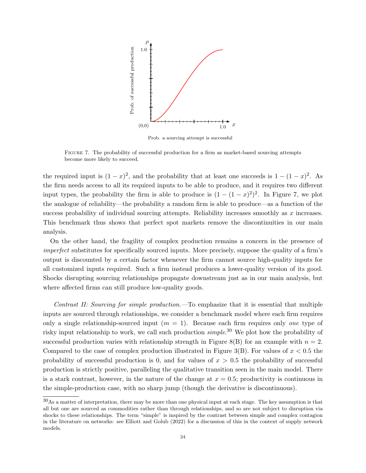

Prob. a sourcing attempt is successful

Figure 7. The probability of successful production for a firm as market-based sourcing attempts become more likely to succeed.

the required input is  $(1-x)^2$ , and the probability that at least one succeeds is  $1-(1-x)^2$ . As the firm needs access to all its required inputs to be able to produce, and it requires two different input types, the probability the firm is able to produce is  $(1 - (1 - x)^2)^2$ . In Figure 7, we plot the analogue of reliability—the probability a random firm is able to produce—as a function of the success probability of individual sourcing attempts. Reliability increases smoothly as  $x$  increases. This benchmark thus shows that perfect spot markets remove the discontinuities in our main analysis.

On the other hand, the fragility of complex production remains a concern in the presence of imperfect substitutes for specifically sourced inputs. More precisely, suppose the quality of a firm's output is discounted by a certain factor whenever the firm cannot source high-quality inputs for all customized inputs required. Such a firm instead produces a lower-quality version of its good. Shocks disrupting sourcing relationships propagate downstream just as in our main analysis, but where affected firms can still produce low-quality goods.

Contrast II: Sourcing for simple production.—To emphasize that it is essential that multiple inputs are sourced through relationships, we consider a benchmark model where each firm requires only a single relationship-sourced input  $(m = 1)$ . Because each firm requires only one type of risky input relationship to work, we call such production  $simple^{30}$  We plot how the probability of successful production varies with relationship strength in Figure 8(B) for an example with  $n = 2$ . Compared to the case of complex production illustrated in Figure 3(B). For values of  $x < 0.5$  the probability of successful production is 0, and for values of  $x > 0.5$  the probability of successful production is strictly positive, paralleling the qualitative transition seen in the main model. There is a stark contrast, however, in the nature of the change at  $x = 0.5$ ; productivity is continuous in the simple-production case, with no sharp jump (though the derivative is discontinuous).

<sup>30</sup>As a matter of interpretation, there may be more than one physical input at each stage. The key assumption is that all but one are sourced as commodities rather than through relationships, and so are not subject to disruption via shocks to these relationships. The term "simple" is inspired by the contrast between simple and complex contagion in the literature on networks: see Elliott and Golub (2022) for a discussion of this in the context of supply network models.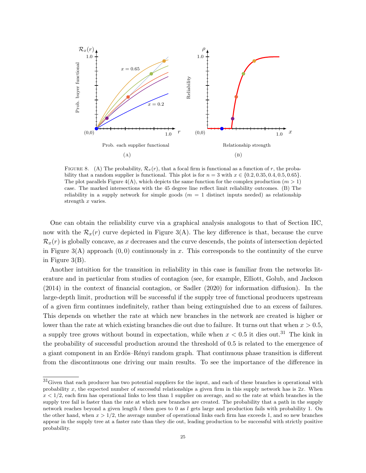

FIGURE 8. (A) The probability,  $\mathcal{R}_x(r)$ , that a focal firm is functional as a function of r, the probability that a random supplier is functional. This plot is for  $n = 3$  with  $x \in \{0.2, 0.35, 0.4, 0.5, 0.65\}$ . The plot parallels Figure  $4(A)$ , which depicts the same function for the complex production  $(m > 1)$ case. The marked intersections with the 45 degree line reflect limit reliability outcomes. (B) The reliability in a supply network for simple goods  $(m = 1$  distinct inputs needed) as relationship strength x varies.

One can obtain the reliability curve via a graphical analysis analogous to that of Section IIC, now with the  $\mathcal{R}_x(r)$  curve depicted in Figure 3(A). The key difference is that, because the curve  $\mathcal{R}_x(r)$  is globally concave, as x decreases and the curve descends, the points of intersection depicted in Figure 3(A) approach  $(0, 0)$  continuously in x. This corresponds to the continuity of the curve in Figure 3(B).

Another intuition for the transition in reliability in this case is familiar from the networks literature and in particular from studies of contagion (see, for example, Elliott, Golub, and Jackson (2014) in the context of financial contagion, or Sadler (2020) for information diffusion). In the large-depth limit, production will be successful if the supply tree of functional producers upstream of a given firm continues indefinitely, rather than being extinguished due to an excess of failures. This depends on whether the rate at which new branches in the network are created is higher or lower than the rate at which existing branches die out due to failure. It turns out that when  $x > 0.5$ , a supply tree grows without bound in expectation, while when  $x < 0.5$  it dies out.<sup>31</sup> The kink in the probability of successful production around the threshold of 0.5 is related to the emergence of a giant component in an Erdös–Rényi random graph. That continuous phase transition is different from the discontinuous one driving our main results. To see the importance of the difference in

 $31$ Given that each producer has two potential suppliers for the input, and each of these branches is operational with probability x, the expected number of successful relationships a given firm in this supply network has is  $2x$ . When  $x < 1/2$ , each firm has operational links to less than 1 supplier on average, and so the rate at which branches in the supply tree fail is faster than the rate at which new branches are created. The probability that a path in the supply network reaches beyond a given length l then goes to 0 as l gets large and production fails with probability 1. On the other hand, when  $x > 1/2$ , the average number of operational links each firm has exceeds 1, and so new branches appear in the supply tree at a faster rate than they die out, leading production to be successful with strictly positive probability.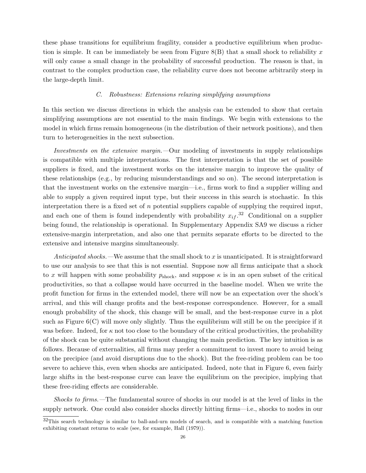these phase transitions for equilibrium fragility, consider a productive equilibrium when production is simple. It can be immediately be seen from Figure  $8(B)$  that a small shock to reliability x will only cause a small change in the probability of successful production. The reason is that, in contrast to the complex production case, the reliability curve does not become arbitrarily steep in the large-depth limit.

# C. Robustness: Extensions relaxing simplifying assumptions

In this section we discuss directions in which the analysis can be extended to show that certain simplifying assumptions are not essential to the main findings. We begin with extensions to the model in which firms remain homogeneous (in the distribution of their network positions), and then turn to heterogeneities in the next subsection.

Investments on the extensive margin.—Our modeling of investments in supply relationships is compatible with multiple interpretations. The first interpretation is that the set of possible suppliers is fixed, and the investment works on the intensive margin to improve the quality of these relationships (e.g., by reducing misunderstandings and so on). The second interpretation is that the investment works on the extensive margin—i.e., firms work to find a supplier willing and able to supply a given required input type, but their success in this search is stochastic. In this interpretation there is a fixed set of  $n$  potential suppliers capable of supplying the required input, and each one of them is found independently with probability  $x_{if}$ .<sup>32</sup> Conditional on a supplier being found, the relationship is operational. In Supplementary Appendix SA9 we discuss a richer extensive-margin interpretation, and also one that permits separate efforts to be directed to the extensive and intensive margins simultaneously.

Anticipated shocks.—We assume that the small shock to  $x$  is unanticipated. It is straightforward to use our analysis to see that this is not essential. Suppose now all firms anticipate that a shock to x will happen with some probability  $p_{\text{shock}}$ , and suppose  $\kappa$  is in an open subset of the critical productivities, so that a collapse would have occurred in the baseline model. When we write the profit function for firms in the extended model, there will now be an expectation over the shock's arrival, and this will change profits and the best-response correspondence. However, for a small enough probability of the shock, this change will be small, and the best-response curve in a plot such as Figure 6(C) will move only slightly. Thus the equilibrium will still be on the precipice if it was before. Indeed, for  $\kappa$  not too close to the boundary of the critical productivities, the probability of the shock can be quite substantial without changing the main prediction. The key intuition is as follows. Because of externalities, all firms may prefer a commitment to invest more to avoid being on the precipice (and avoid disruptions due to the shock). But the free-riding problem can be too severe to achieve this, even when shocks are anticipated. Indeed, note that in Figure 6, even fairly large shifts in the best-response curve can leave the equilibrium on the precipice, implying that these free-riding effects are considerable.

Shocks to firms.—The fundamental source of shocks in our model is at the level of links in the supply network. One could also consider shocks directly hitting firms—i.e., shocks to nodes in our

<sup>32</sup>This search technology is similar to ball-and-urn models of search, and is compatible with a matching function exhibiting constant returns to scale (see, for example, Hall (1979)).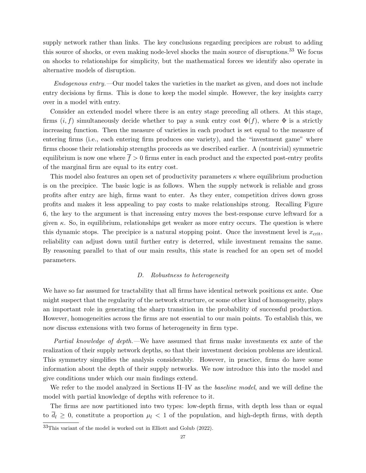supply network rather than links. The key conclusions regarding precipices are robust to adding this source of shocks, or even making node-level shocks the main source of disruptions.<sup>33</sup> We focus on shocks to relationships for simplicity, but the mathematical forces we identify also operate in alternative models of disruption.

Endogenous entry.—Our model takes the varieties in the market as given, and does not include entry decisions by firms. This is done to keep the model simple. However, the key insights carry over in a model with entry.

Consider an extended model where there is an entry stage preceding all others. At this stage, firms  $(i, f)$  simultaneously decide whether to pay a sunk entry cost  $\Phi(f)$ , where  $\Phi$  is a strictly increasing function. Then the measure of varieties in each product is set equal to the measure of entering firms (i.e., each entering firm produces one variety), and the "investment game" where firms choose their relationship strengths proceeds as we described earlier. A (nontrivial) symmetric equilibrium is now one where  $\bar{f} > 0$  firms enter in each product and the expected post-entry profits of the marginal firm are equal to its entry cost.

This model also features an open set of productivity parameters  $\kappa$  where equilibrium production is on the precipice. The basic logic is as follows. When the supply network is reliable and gross profits after entry are high, firms want to enter. As they enter, competition drives down gross profits and makes it less appealing to pay costs to make relationships strong. Recalling Figure 6, the key to the argument is that increasing entry moves the best-response curve leftward for a given  $\kappa$ . So, in equilibrium, relationships get weaker as more entry occurs. The question is where this dynamic stops. The precipice is a natural stopping point. Once the investment level is  $x_{\text{crit}}$ , reliability can adjust down until further entry is deterred, while investment remains the same. By reasoning parallel to that of our main results, this state is reached for an open set of model parameters.

# D. Robustness to heterogeneity

We have so far assumed for tractability that all firms have identical network positions ex ante. One might suspect that the regularity of the network structure, or some other kind of homogeneity, plays an important role in generating the sharp transition in the probability of successful production. However, homogeneities across the firms are not essential to our main points. To establish this, we now discuss extensions with two forms of heterogeneity in firm type.

Partial knowledge of depth.—We have assumed that firms make investments ex ante of the realization of their supply network depths, so that their investment decision problems are identical. This symmetry simplifies the analysis considerably. However, in practice, firms do have some information about the depth of their supply networks. We now introduce this into the model and give conditions under which our main findings extend.

We refer to the model analyzed in Sections II–IV as the *baseline model*, and we will define the model with partial knowledge of depths with reference to it.

The firms are now partitioned into two types: low-depth firms, with depth less than or equal to  $\overline{d}_l \geq 0$ , constitute a proportion  $\mu_l < 1$  of the population, and high-depth firms, with depth

<sup>33</sup>This variant of the model is worked out in Elliott and Golub (2022).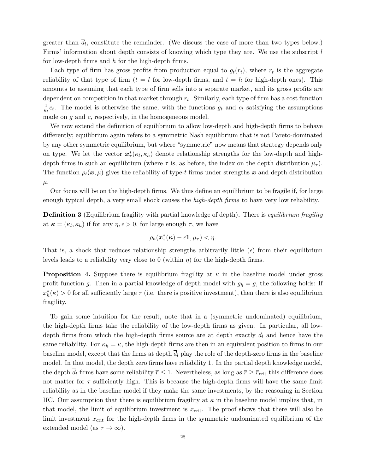greater than  $d_l$ , constitute the remainder. (We discuss the case of more than two types below.) Firms' information about depth consists of knowing which type they are. We use the subscript l for low-depth firms and h for the high-depth firms.

Each type of firm has gross profits from production equal to  $g_t(r_t)$ , where  $r_t$  is the aggregate reliability of that type of firm  $(t = l$  for low-depth firms, and  $t = h$  for high-depth ones). This amounts to assuming that each type of firm sells into a separate market, and its gross profits are dependent on competition in that market through  $r_t$ . Similarly, each type of firm has a cost function 1  $\frac{1}{\kappa_t}c_t$ . The model is otherwise the same, with the functions  $g_t$  and  $c_t$  satisfying the assumptions made on  $g$  and  $c$ , respectively, in the homogeneous model.

We now extend the definition of equilibrium to allow low-depth and high-depth firms to behave differently; equilibrium again refers to a symmetric Nash equilibrium that is not Pareto-dominated by any other symmetric equilibrium, but where "symmetric" now means that strategy depends only on type. We let the vector  $x^*_{\tau}(\kappa_l, \kappa_h)$  denote relationship strengths for the low-depth and highdepth firms in such an equilibrium (where  $\tau$  is, as before, the index on the depth distribution  $\mu_{\tau}$ ). The function  $\rho_t(x,\mu)$  gives the reliability of type-t firms under strengths x and depth distribution  $\mu$ .

Our focus will be on the high-depth firms. We thus define an equilibrium to be fragile if, for large enough typical depth, a very small shock causes the *high-depth firms* to have very low reliability.

**Definition 3** (Equilibrium fragility with partial knowledge of depth). There is *equilibrium fragility* at  $\kappa = (\kappa_l, \kappa_h)$  if for any  $\eta, \epsilon > 0$ , for large enough  $\tau$ , we have

$$
\rho_h(\boldsymbol{x}_{\tau}^*(\boldsymbol{\kappa})-\epsilon\mathbf{1},\mu_{\tau})<\eta.
$$

That is, a shock that reduces relationship strengths arbitrarily little  $(\epsilon)$  from their equilibrium levels leads to a reliability very close to 0 (within  $\eta$ ) for the high-depth firms.

**Proposition 4.** Suppose there is equilibrium fragility at  $\kappa$  in the baseline model under gross profit function g. Then in a partial knowledge of depth model with  $g_h = g$ , the following holds: If  $x_h^*(\kappa) > 0$  for all sufficiently large  $\tau$  (i.e. there is positive investment), then there is also equilibrium fragility.

To gain some intuition for the result, note that in a (symmetric undominated) equilibrium, the high-depth firms take the reliability of the low-depth firms as given. In particular, all lowdepth firms from which the high-depth firms source are at depth exactly  $\overline{d}_l$  and hence have the same reliability. For  $\kappa_h = \kappa$ , the high-depth firms are then in an equivalent position to firms in our baseline model, except that the firms at depth  $\overline{d}_l$  play the role of the depth-zero firms in the baseline model. In that model, the depth zero firms have reliability 1. In the partial depth knowledge model, the depth  $\bar{d}_l$  firms have some reliability  $\bar{r} \leq 1$ . Nevertheless, as long as  $\bar{r} \geq \bar{r}_{\rm crit}$  this difference does not matter for  $\tau$  sufficiently high. This is because the high-depth firms will have the same limit reliability as in the baseline model if they make the same investments, by the reasoning in Section IIC. Our assumption that there is equilibrium fragility at  $\kappa$  in the baseline model implies that, in that model, the limit of equilibrium investment is  $x_{\text{crit}}$ . The proof shows that there will also be limit investment  $x_{\text{crit}}$  for the high-depth firms in the symmetric undominated equilibrium of the extended model (as  $\tau \to \infty$ ).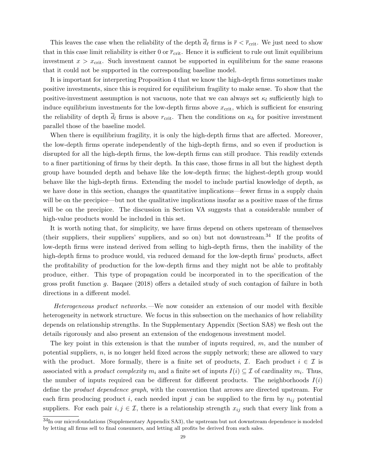This leaves the case when the reliability of the depth  $\bar{d}_{\ell}$  firms is  $\bar{r} < \bar{r}_{\rm crit}$ . We just need to show that in this case limit reliability is either 0 or  $\bar{r}_{\text{crit}}$ . Hence it is sufficient to rule out limit equilibrium investment  $x > x_{\text{crit}}$ . Such investment cannot be supported in equilibrium for the same reasons that it could not be supported in the corresponding baseline model.

It is important for interpreting Proposition 4 that we know the high-depth firms sometimes make positive investments, since this is required for equilibrium fragility to make sense. To show that the positive-investment assumption is not vacuous, note that we can always set  $\kappa_l$  sufficiently high to induce equilibrium investments for the low-depth firms above  $x_{\text{crit}}$ , which is sufficient for ensuring the reliability of depth  $\overline{d}_l$  firms is above  $r_{\text{crit}}$ . Then the conditions on  $\kappa_h$  for positive investment parallel those of the baseline model.

When there is equilibrium fragility, it is only the high-depth firms that are affected. Moreover, the low-depth firms operate independently of the high-depth firms, and so even if production is disrupted for all the high-depth firms, the low-depth firms can still produce. This readily extends to a finer partitioning of firms by their depth. In this case, those firms in all but the highest depth group have bounded depth and behave like the low-depth firms; the highest-depth group would behave like the high-depth firms. Extending the model to include partial knowledge of depth, as we have done in this section, changes the quantitative implications—fewer firms in a supply chain will be on the precipice—but not the qualitative implications insofar as a positive mass of the firms will be on the precipice. The discussion in Section VA suggests that a considerable number of high-value products would be included in this set.

It is worth noting that, for simplicity, we have firms depend on others upstream of themselves (their suppliers, their suppliers' suppliers, and so on) but not downstream.<sup>34</sup> If the profits of low-depth firms were instead derived from selling to high-depth firms, then the inability of the high-depth firms to produce would, via reduced demand for the low-depth firms' products, affect the profitability of production for the low-depth firms and they might not be able to profitably produce, either. This type of propagation could be incorporated in to the specification of the gross profit function g. Baqaee (2018) offers a detailed study of such contagion of failure in both directions in a different model.

Heterogeneous product networks.—We now consider an extension of our model with flexible heterogeneity in network structure. We focus in this subsection on the mechanics of how reliability depends on relationship strengths. In the Supplementary Appendix (Section SA8) we flesh out the details rigorously and also present an extension of the endogenous investment model.

The key point in this extension is that the number of inputs required, m, and the number of potential suppliers,  $n$ , is no longer held fixed across the supply network; these are allowed to vary with the product. More formally, there is a finite set of products,  $\mathcal{I}$ . Each product  $i \in \mathcal{I}$  is associated with a *product complexity*  $m_i$  and a finite set of inputs  $I(i) \subseteq \mathcal{I}$  of cardinality  $m_i$ . Thus, the number of inputs required can be different for different products. The neighborhoods  $I(i)$ define the *product dependence graph*, with the convention that arrows are directed upstream. For each firm producing product i, each needed input j can be supplied to the firm by  $n_{ij}$  potential suppliers. For each pair  $i, j \in \mathcal{I}$ , there is a relationship strength  $x_{ij}$  such that every link from a

<sup>34</sup>In our microfoundations (Supplementary Appendix SA3), the upstream but not downstream dependence is modeled by letting all firms sell to final consumers, and letting all profits be derived from such sales.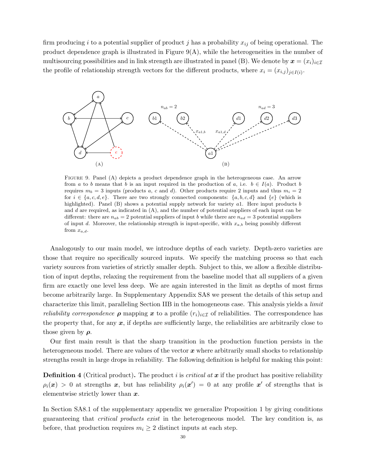firm producing i to a potential supplier of product j has a probability  $x_{ij}$  of being operational. The product dependence graph is illustrated in Figure  $9(A)$ , while the heterogeneities in the number of multisourcing possibilities and in link strength are illustrated in panel (B). We denote by  $\mathbf{x} = (x_i)_{i \in \mathcal{I}}$ the profile of relationship strength vectors for the different products, where  $x_i = (x_{i,j})_{j \in I(i)}$ .



FIGURE 9. Panel (A) depicts a product dependence graph in the heterogeneous case. An arrow from a to b means that b is an input required in the production of a, i.e.  $b \in I(a)$ . Product b requires  $m_b = 3$  inputs (products a, c and d). Other products require 2 inputs and thus  $m_i = 2$ for  $i \in \{a, c, d, e\}$ . There are two strongly connected components:  $\{a, b, c, d\}$  and  $\{e\}$  (which is highlighted). Panel (B) shows a potential supply network for variety  $a_1$ . Here input products  $b$ and d are required, as indicated in  $(A)$ , and the number of potential suppliers of each input can be different: there are  $n_{ab} = 2$  potential suppliers of input b while there are  $n_{ad} = 3$  potential suppliers of input d. Moreover, the relationship strength is input-specific, with  $x_{a,b}$  being possibly different from  $x_{a,d}$ .

Analogously to our main model, we introduce depths of each variety. Depth-zero varieties are those that require no specifically sourced inputs. We specify the matching process so that each variety sources from varieties of strictly smaller depth. Subject to this, we allow a flexible distribution of input depths, relaxing the requirement from the baseline model that all suppliers of a given firm are exactly one level less deep. We are again interested in the limit as depths of most firms become arbitrarily large. In Supplementary Appendix SA8 we present the details of this setup and characterize this limit, paralleling Section IIB in the homogeneous case. This analysis yields a limit *reliability correspondence*  $\rho$  mapping x to a profile  $(r_i)_{i\in\mathcal{I}}$  of reliabilities. The correspondence has the property that, for any  $x$ , if depths are sufficiently large, the reliabilities are arbitrarily close to those given by  $\rho$ .

Our first main result is that the sharp transition in the production function persists in the heterogeneous model. There are values of the vector  $x$  where arbitrarily small shocks to relationship strengths result in large drops in reliability. The following definition is helpful for making this point:

**Definition 4** (Critical product). The product i is *critical at*  $x$  if the product has positive reliability  $\rho_i(x) > 0$  at strengths x, but has reliability  $\rho_i(x') = 0$  at any profile x' of strengths that is elementwise strictly lower than  $x$ .

In Section SA8.1 of the supplementary appendix we generalize Proposition 1 by giving conditions guaranteeing that critical products exist in the heterogeneous model. The key condition is, as before, that production requires  $m_i \geq 2$  distinct inputs at each step.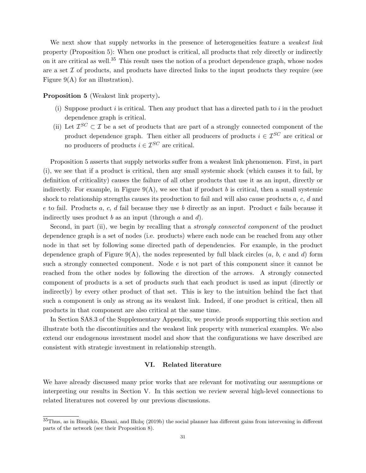We next show that supply networks in the presence of heterogeneities feature a *weakest link* property (Proposition 5): When one product is critical, all products that rely directly or indirectly on it are critical as well.<sup>35</sup> This result uses the notion of a product dependence graph, whose nodes are a set  $\mathcal I$  of products, and products have directed links to the input products they require (see Figure  $9(A)$  for an illustration).

Proposition 5 (Weakest link property).

- (i) Suppose product  $i$  is critical. Then any product that has a directed path to  $i$  in the product dependence graph is critical.
- (ii) Let  $\mathcal{I}^{SC} \subset \mathcal{I}$  be a set of products that are part of a strongly connected component of the product dependence graph. Then either all producers of products  $i \in \mathcal{I}^{SC}$  are critical or no producers of products  $i \in \mathcal{I}^{SC}$  are critical.

Proposition 5 asserts that supply networks suffer from a weakest link phenomenon. First, in part (i), we see that if a product is critical, then any small systemic shock (which causes it to fail, by definition of criticality) causes the failure of all other products that use it as an input, directly or indirectly. For example, in Figure  $9(A)$ , we see that if product b is critical, then a small systemic shock to relationship strengths causes its production to fail and will also cause products a, c, d and e to fail. Products a, c, d fail because they use b directly as an input. Product e fails because it indirectly uses product b as an input (through  $a$  and  $d$ ).

Second, in part (ii), we begin by recalling that a *strongly connected component* of the product dependence graph is a set of nodes (i.e. products) where each node can be reached from any other node in that set by following some directed path of dependencies. For example, in the product dependence graph of Figure 9(A), the nodes represented by full black circles  $(a, b, c \text{ and } d)$  form such a strongly connected component. Node e is not part of this component since it cannot be reached from the other nodes by following the direction of the arrows. A strongly connected component of products is a set of products such that each product is used as input (directly or indirectly) by every other product of that set. This is key to the intuition behind the fact that such a component is only as strong as its weakest link. Indeed, if one product is critical, then all products in that component are also critical at the same time.

In Section SA8.3 of the Supplementary Appendix, we provide proofs supporting this section and illustrate both the discontinuities and the weakest link property with numerical examples. We also extend our endogenous investment model and show that the configurations we have described are consistent with strategic investment in relationship strength.

# VI. Related literature

We have already discussed many prior works that are relevant for motivating our assumptions or interpreting our results in Section V. In this section we review several high-level connections to related literatures not covered by our previous discussions.

 $35$ Thus, as in Bimpikis, Ehsani, and Ilkılıç (2019b) the social planner has different gains from intervening in different parts of the network (see their Proposition 8).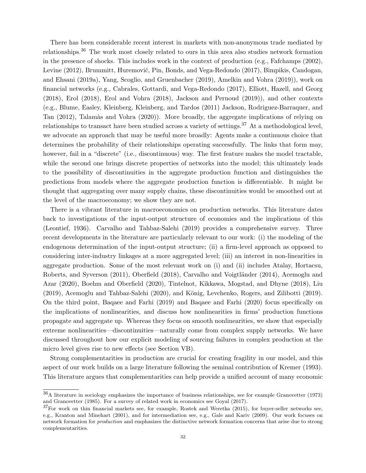There has been considerable recent interest in markets with non-anonymous trade mediated by relationships.<sup>36</sup> The work most closely related to ours in this area also studies network formation in the presence of shocks. This includes work in the context of production (e.g., Fafchamps (2002), Levine (2012), Brummitt, Huremović, Pin, Bonds, and Vega-Redondo (2017), Bimpikis, Candogan, and Ehsani (2019a), Yang, Scoglio, and Gruenbacher (2019), Amelkin and Vohra (2019)), work on financial networks (e.g., Cabrales, Gottardi, and Vega-Redondo (2017), Elliott, Hazell, and Georg (2018), Erol (2018), Erol and Vohra (2018), Jackson and Pernoud (2019)), and other contexts (e.g., Blume, Easley, Kleinberg, Kleinberg, and Tardos (2011) Jackson, Rodriguez-Barraquer, and Tan (2012), Talamàs and Vohra (2020)). More broadly, the aggregate implications of relying on relationships to transact have been studied across a variety of settings.<sup>37</sup> At a methodological level, we advocate an approach that may be useful more broadly: Agents make a continuous choice that determines the probability of their relationships operating successfully. The links that form may, however, fail in a "discrete" (i.e., discontinuous) way. The first feature makes the model tractable, while the second one brings discrete properties of networks into the model; this ultimately leads to the possibility of discontinuities in the aggregate production function and distinguishes the predictions from models where the aggregate production function is differentiable. It might be thought that aggregating over many supply chains, these discontinuities would be smoothed out at the level of the macroeconomy; we show they are not.

There is a vibrant literature in macroeconomics on production networks. This literature dates back to investigations of the input-output structure of economies and the implications of this (Leontief, 1936). Carvalho and Tahbaz-Salehi (2019) provides a comprehensive survey. Three recent developments in the literature are particularly relevant to our work: (i) the modeling of the endogenous determination of the input-output structure; (ii) a firm-level approach as opposed to considering inter-industry linkages at a more aggregated level; (iii) an interest in non-linearities in aggregate production. Some of the most relevant work on (i) and (ii) includes Atalay, Hortacsu, Roberts, and Syverson (2011), Oberfield (2018), Carvalho and Voigtländer (2014), Acemoglu and Azar (2020), Boehm and Oberfield (2020), Tintelnot, Kikkawa, Mogstad, and Dhyne (2018), Liu  $(2019)$ , Acemoglu and Tahbaz-Salehi  $(2020)$ , and König, Levchenko, Rogers, and Zilibotti  $(2019)$ . On the third point, Baqaee and Farhi (2019) and Baqaee and Farhi (2020) focus specifically on the implications of nonlinearities, and discuss how nonlinearities in firms' production functions propagate and aggregate up. Whereas they focus on smooth nonlinearities, we show that especially extreme nonlinearities—discontinuities—naturally come from complex supply networks. We have discussed throughout how our explicit modeling of sourcing failures in complex production at the micro level gives rise to new effects (see Section VB).

Strong complementarities in production are crucial for creating fragility in our model, and this aspect of our work builds on a large literature following the seminal contribution of Kremer (1993). This literature argues that complementarities can help provide a unified account of many economic

 $36A$  literature in sociology emphasizes the importance of business relationships, see for example Granovetter (1973) and Granovetter (1985). For a survey of related work in economics see Goyal (2017).

 $37$ For work on thin financial markets see, for example, Rostek and Weretka (2015), for buyer-seller networks see, e.g., Kranton and Minehart (2001), and for intermediation see, e.g., Gale and Kariv (2009). Our work focuses on network formation for production and emphasizes the distinctive network formation concerns that arise due to strong complementarities.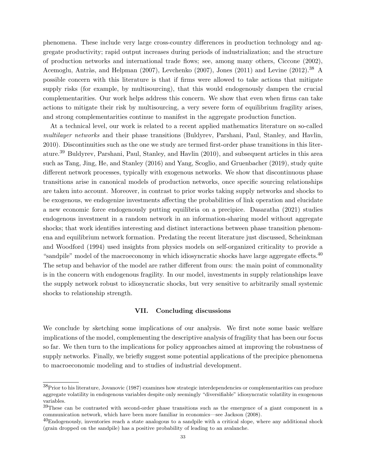phenomena. These include very large cross-country differences in production technology and aggregate productivity; rapid output increases during periods of industrialization; and the structure of production networks and international trade flows; see, among many others, Ciccone (2002), Acemoglu, Antràs, and Helpman (2007), Levchenko (2007), Jones (2011) and Levine (2012).<sup>38</sup> A possible concern with this literature is that if firms were allowed to take actions that mitigate supply risks (for example, by multisourcing), that this would endogenously dampen the crucial complementarities. Our work helps address this concern. We show that even when firms can take actions to mitigate their risk by multisourcing, a very severe form of equilibrium fragility arises, and strong complementarities continue to manifest in the aggregate production function.

At a technical level, our work is related to a recent applied mathematics literature on so-called multilayer networks and their phase transitions (Buldyrev, Parshani, Paul, Stanley, and Havlin, 2010). Discontinuities such as the one we study are termed first-order phase transitions in this literature.<sup>39</sup> Buldyrev, Parshani, Paul, Stanley, and Havlin (2010), and subsequent articles in this area such as Tang, Jing, He, and Stanley (2016) and Yang, Scoglio, and Gruenbacher (2019), study quite different network processes, typically with exogenous networks. We show that discontinuous phase transitions arise in canonical models of production networks, once specific sourcing relationships are taken into account. Moreover, in contrast to prior works taking supply networks and shocks to be exogenous, we endogenize investments affecting the probabilities of link operation and elucidate a new economic force endogenously putting equilibria on a precipice. Dasaratha (2021) studies endogenous investment in a random network in an information-sharing model without aggregate shocks; that work identifies interesting and distinct interactions between phase transition phenomena and equilibrium network formation. Predating the recent literature just discussed, Scheinkman and Woodford (1994) used insights from physics models on self-organized criticality to provide a "sandpile" model of the macroeconomy in which idiosyncratic shocks have large aggregate effects.<sup>40</sup> The setup and behavior of the model are rather different from ours: the main point of commonality is in the concern with endogenous fragility. In our model, investments in supply relationships leave the supply network robust to idiosyncratic shocks, but very sensitive to arbitrarily small systemic shocks to relationship strength.

#### VII. Concluding discussions

We conclude by sketching some implications of our analysis. We first note some basic welfare implications of the model, complementing the descriptive analysis of fragility that has been our focus so far. We then turn to the implications for policy approaches aimed at improving the robustness of supply networks. Finally, we briefly suggest some potential applications of the precipice phenomena to macroeconomic modeling and to studies of industrial development.

<sup>38</sup>Prior to his literature, Jovanovic (1987) examines how strategic interdependencies or complementarities can produce aggregate volatility in endogenous variables despite only seemingly "diversifiable" idiosyncratic volatility in exogenous variables.

<sup>39</sup>These can be contrasted with second-order phase transitions such as the emergence of a giant component in a communication network, which have been more familiar in economics—see Jackson (2008).

 $^{40}$ Endogenously, inventories reach a state analogous to a sandpile with a critical slope, where any additional shock (grain dropped on the sandpile) has a positive probability of leading to an avalanche.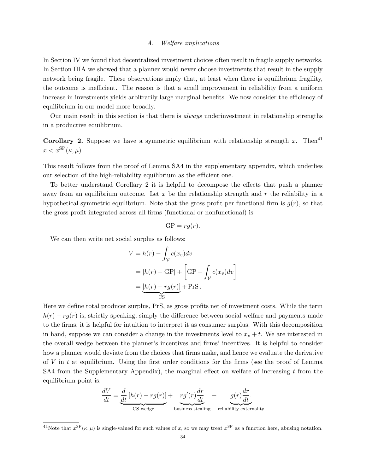#### A. Welfare implications

In Section IV we found that decentralized investment choices often result in fragile supply networks. In Section IIIA we showed that a planner would never choose investments that result in the supply network being fragile. These observations imply that, at least when there is equilibrium fragility, the outcome is inefficient. The reason is that a small improvement in reliability from a uniform increase in investments yields arbitrarily large marginal benefits. We now consider the efficiency of equilibrium in our model more broadly.

Our main result in this section is that there is always underinvestment in relationship strengths in a productive equilibrium.

**Corollary 2.** Suppose we have a symmetric equilibrium with relationship strength x. Then<sup>41</sup>  $x < x^{\text{SP}}(\kappa, \mu).$ 

This result follows from the proof of Lemma SA4 in the supplementary appendix, which underlies our selection of the high-reliability equilibrium as the efficient one.

To better understand Corollary 2 it is helpful to decompose the effects that push a planner away from an equilibrium outcome. Let  $x$  be the relationship strength and  $r$  the reliability in a hypothetical symmetric equilibrium. Note that the gross profit per functional firm is  $g(r)$ , so that the gross profit integrated across all firms (functional or nonfunctional) is

$$
GP = rg(r).
$$

We can then write net social surplus as follows:

$$
V = h(r) - \int_{\mathcal{V}} c(x_v) dv
$$
  
=  $[h(r) - GP] + \left[ GP - \int_{\mathcal{V}} c(x_v) dv \right]$   
=  $\underbrace{[h(r) - rg(r)]}_{CS} + PrS.$ 

Here we define total producer surplus, PrS, as gross profits net of investment costs. While the term  $h(r) - rg(r)$  is, strictly speaking, simply the difference between social welfare and payments made to the firms, it is helpful for intuition to interpret it as consumer surplus. With this decomposition in hand, suppose we can consider a change in the investments level to  $x_v + t$ . We are interested in the overall wedge between the planner's incentives and firms' incentives. It is helpful to consider how a planner would deviate from the choices that firms make, and hence we evaluate the derivative of V in t at equilibrium. Using the first order conditions for the firms (see the proof of Lemma SA4 from the Supplementary Appendix), the marginal effect on welfare of increasing  $t$  from the equilibrium point is:

$$
\frac{dV}{dt} = \underbrace{\frac{d}{dt}[h(r) - rg(r)]}_{\text{CS wedge}} + \underbrace{rg'(r)\frac{dr}{dt}}_{\text{business steadily}} + \underbrace{g(r)\frac{dr}{dt}}_{\text{reliability externality}}.
$$

<sup>&</sup>lt;sup>41</sup>Note that  $x^{\text{SP}}(\kappa, \mu)$  is single-valued for such values of x, so we may treat  $x^{\text{SP}}$  as a function here, abusing notation.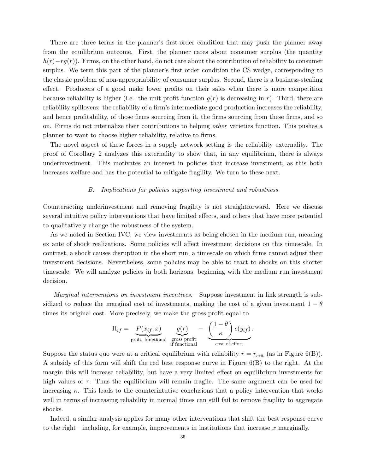There are three terms in the planner's first-order condition that may push the planner away from the equilibrium outcome. First, the planner cares about consumer surplus (the quantity  $h(r)-rg(r)$ ). Firms, on the other hand, do not care about the contribution of reliability to consumer surplus. We term this part of the planner's first order condition the CS wedge, corresponding to the classic problem of non-appropriability of consumer surplus. Second, there is a business-stealing effect. Producers of a good make lower profits on their sales when there is more competition because reliability is higher (i.e., the unit profit function  $g(r)$  is decreasing in r). Third, there are reliability spillovers: the reliability of a firm's intermediate good production increases the reliability, and hence profitability, of those firms sourcing from it, the firms sourcing from these firms, and so on. Firms do not internalize their contributions to helping other varieties function. This pushes a planner to want to choose higher reliability, relative to firms.

The novel aspect of these forces in a supply network setting is the reliability externality. The proof of Corollary 2 analyzes this externality to show that, in any equilibrium, there is always underinvestment. This motivates an interest in policies that increase investment, as this both increases welfare and has the potential to mitigate fragility. We turn to these next.

#### B. Implications for policies supporting investment and robustness

Counteracting underinvestment and removing fragility is not straightforward. Here we discuss several intuitive policy interventions that have limited effects, and others that have more potential to qualitatively change the robustness of the system.

As we noted in Section IVC, we view investments as being chosen in the medium run, meaning ex ante of shock realizations. Some policies will affect investment decisions on this timescale. In contrast, a shock causes disruption in the short run, a timescale on which firms cannot adjust their investment decisions. Nevertheless, some policies may be able to react to shocks on this shorter timescale. We will analyze policies in both horizons, beginning with the medium run investment decision.

Marginal interventions on investment incentives.—Suppose investment in link strength is subsidized to reduce the marginal cost of investments, making the cost of a given investment  $1 - \theta$ times its original cost. More precisely, we make the gross profit equal to

$$
\Pi_{if} = \underbrace{P(x_{if}; x)}_{\text{prob. functional}} \underbrace{g(r)}_{\text{gross profit}} - \underbrace{\left(\frac{1-\theta}{\kappa}\right)c(y_{if})}_{\text{cost of effort}}.
$$

Suppose the status quo were at a critical equilibrium with reliability  $r = r_{\text{crit}}$  (as in Figure 6(B)). A subsidy of this form will shift the red best response curve in Figure 6(B) to the right. At the margin this will increase reliability, but have a very limited effect on equilibrium investments for high values of  $\tau$ . Thus the equilibrium will remain fragile. The same argument can be used for increasing  $\kappa$ . This leads to the counterintutive conclusions that a policy intervention that works well in terms of increasing reliability in normal times can still fail to remove fragility to aggregate shocks.

Indeed, a similar analysis applies for many other interventions that shift the best response curve to the right—including, for example, improvements in institutions that increase  $x$  marginally.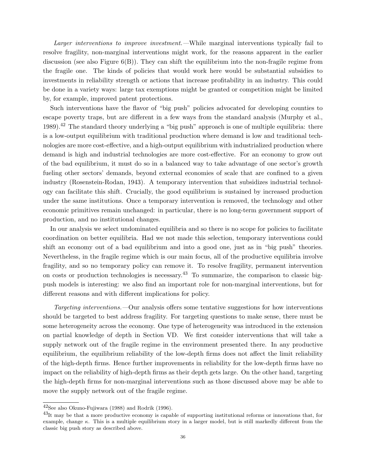Larger interventions to improve investment.—While marginal interventions typically fail to resolve fragility, non-marginal interventions might work, for the reasons apparent in the earlier discussion (see also Figure  $6(B)$ ). They can shift the equilibrium into the non-fragile regime from the fragile one. The kinds of policies that would work here would be substantial subsidies to investments in reliability strength or actions that increase profitability in an industry. This could be done in a variety ways: large tax exemptions might be granted or competition might be limited by, for example, improved patent protections.

Such interventions have the flavor of "big push" policies advocated for developing counties to escape poverty traps, but are different in a few ways from the standard analysis (Murphy et al., 1989).<sup>42</sup> The standard theory underlying a "big push" approach is one of multiple equilibria: there is a low-output equilibrium with traditional production where demand is low and traditional technologies are more cost-effective, and a high-output equilibrium with industrialized production where demand is high and industrial technologies are more cost-effective. For an economy to grow out of the bad equilibrium, it must do so in a balanced way to take advantage of one sector's growth fueling other sectors' demands, beyond external economies of scale that are confined to a given industry (Rosenstein-Rodan, 1943). A temporary intervention that subsidizes industrial technology can facilitate this shift. Crucially, the good equilibrium is sustained by increased production under the same institutions. Once a temporary intervention is removed, the technology and other economic primitives remain unchanged: in particular, there is no long-term government support of production, and no institutional changes.

In our analysis we select undominated equilibria and so there is no scope for policies to facilitate coordination on better equilibria. Had we not made this selection, temporary interventions could shift an economy out of a bad equilibrium and into a good one, just as in "big push" theories. Nevertheless, in the fragile regime which is our main focus, all of the productive equilibria involve fragility, and so no temporary policy can remove it. To resolve fragility, permanent intervention on costs or production technologies is necessary.<sup>43</sup> To summarize, the comparison to classic bigpush models is interesting: we also find an important role for non-marginal interventions, but for different reasons and with different implications for policy.

Targeting interventions.—Our analysis offers some tentative suggestions for how interventions should be targeted to best address fragility. For targeting questions to make sense, there must be some heterogeneity across the economy. One type of heterogeneity was introduced in the extension on partial knowledge of depth in Section VD. We first consider interventions that will take a supply network out of the fragile regime in the environment presented there. In any productive equilibrium, the equilibrium reliability of the low-depth firms does not affect the limit reliability of the high-depth firms. Hence further improvements in reliability for the low-depth firms have no impact on the reliability of high-depth firms as their depth gets large. On the other hand, targeting the high-depth firms for non-marginal interventions such as those discussed above may be able to move the supply network out of the fragile regime.

<sup>42</sup>See also Okuno-Fujiwara (1988) and Rodrik (1996).

 $^{43}$ It may be that a more productive economy is capable of supporting institutional reforms or innovations that, for example, change  $\kappa$ . This is a multiple equilibrium story in a larger model, but is still markedly different from the classic big push story as described above.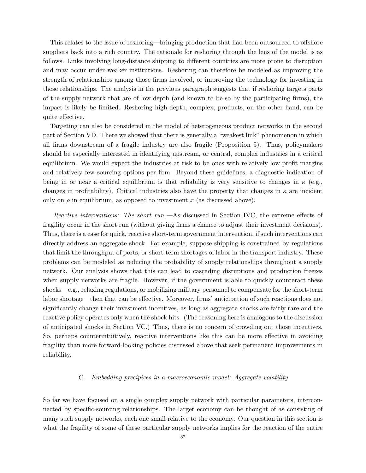This relates to the issue of reshoring—bringing production that had been outsourced to offshore suppliers back into a rich country. The rationale for reshoring through the lens of the model is as follows. Links involving long-distance shipping to different countries are more prone to disruption and may occur under weaker institutions. Reshoring can therefore be modeled as improving the strength of relationships among those firms involved, or improving the technology for investing in those relationships. The analysis in the previous paragraph suggests that if reshoring targets parts of the supply network that are of low depth (and known to be so by the participating firms), the impact is likely be limited. Reshoring high-depth, complex, products, on the other hand, can be quite effective.

Targeting can also be considered in the model of heterogeneous product networks in the second part of Section VD. There we showed that there is generally a "weakest link" phenomenon in which all firms downstream of a fragile industry are also fragile (Proposition 5). Thus, policymakers should be especially interested in identifying upstream, or central, complex industries in a critical equilibrium. We would expect the industries at risk to be ones with relatively low profit margins and relatively few sourcing options per firm. Beyond these guidelines, a diagnostic indication of being in or near a critical equilibrium is that reliability is very sensitive to changes in  $\kappa$  (e.g., changes in profitability). Critical industries also have the property that changes in  $\kappa$  are incident only on  $\rho$  in equilibrium, as opposed to investment x (as discussed above).

Reactive interventions: The short run.—As discussed in Section IVC, the extreme effects of fragility occur in the short run (without giving firms a chance to adjust their investment decisions). Thus, there is a case for quick, reactive short-term government intervention, if such interventions can directly address an aggregate shock. For example, suppose shipping is constrained by regulations that limit the throughput of ports, or short-term shortages of labor in the transport industry. These problems can be modeled as reducing the probability of supply relationships throughout a supply network. Our analysis shows that this can lead to cascading disruptions and production freezes when supply networks are fragile. However, if the government is able to quickly counteract these shocks—e.g., relaxing regulations, or mobilizing military personnel to compensate for the short-term labor shortage—then that can be effective. Moreover, firms' anticipation of such reactions does not significantly change their investment incentives, as long as aggregate shocks are fairly rare and the reactive policy operates only when the shock hits. (The reasoning here is analogous to the discussion of anticipated shocks in Section VC.) Thus, there is no concern of crowding out those incentives. So, perhaps counterintuitively, reactive interventions like this can be more effective in avoiding fragility than more forward-looking policies discussed above that seek permanent improvements in reliability.

# C. Embedding precipices in a macroeconomic model: Aggregate volatility

So far we have focused on a single complex supply network with particular parameters, interconnected by specific-sourcing relationships. The larger economy can be thought of as consisting of many such supply networks, each one small relative to the economy. Our question in this section is what the fragility of some of these particular supply networks implies for the reaction of the entire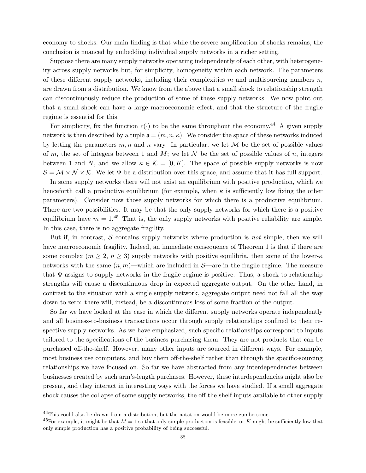economy to shocks. Our main finding is that while the severe amplification of shocks remains, the conclusion is nuanced by embedding individual supply networks in a richer setting.

Suppose there are many supply networks operating independently of each other, with heterogeneity across supply networks but, for simplicity, homogeneity within each network. The parameters of these different supply networks, including their complexities  $m$  and multisourcing numbers  $n$ , are drawn from a distribution. We know from the above that a small shock to relationship strength can discontinuously reduce the production of some of these supply networks. We now point out that a small shock can have a large macroeconomic effect, and that the structure of the fragile regime is essential for this.

For simplicity, fix the function  $c(\cdot)$  to be the same throughout the economy.<sup>44</sup> A given supply network is then described by a tuple  $\mathfrak{s} = (m, n, \kappa)$ . We consider the space of these networks induced by letting the parameters  $m, n$  and  $\kappa$  vary. In particular, we let M be the set of possible values of m, the set of integers between 1 and M; we let  $\mathcal N$  be the set of possible values of n, integers between 1 and N, and we allow  $\kappa \in \mathcal{K} = [0, K]$ . The space of possible supply networks is now  $\mathcal{S} = \mathcal{M} \times \mathcal{N} \times \mathcal{K}$ . We let  $\Psi$  be a distribution over this space, and assume that it has full support.

In some supply networks there will not exist an equilibrium with positive production, which we henceforth call a productive equilibrium (for example, when  $\kappa$  is sufficiently low fixing the other parameters). Consider now those supply networks for which there is a productive equilibrium. There are two possibilities. It may be that the only supply networks for which there is a positive equilibrium have  $m = 1<sup>45</sup>$  That is, the only supply networks with positive reliability are simple. In this case, there is no aggregate fragility.

But if, in contrast,  $\mathcal S$  contains supply networks where production is *not* simple, then we will have macroeconomic fragility. Indeed, an immediate consequence of Theorem 1 is that if there are some complex  $(m \geq 2, n \geq 3)$  supply networks with positive equilibria, then some of the lower- $\kappa$ networks with the same  $(n, m)$ —which are included in S—are in the fragile regime. The measure that  $\Psi$  assigns to supply networks in the fragile regime is positive. Thus, a shock to relationship strengths will cause a discontinuous drop in expected aggregate output. On the other hand, in contrast to the situation with a single supply network, aggregate output need not fall all the way down to zero: there will, instead, be a discontinuous loss of some fraction of the output.

So far we have looked at the case in which the different supply networks operate independently and all business-to-business transactions occur through supply relationships confined to their respective supply networks. As we have emphasized, such specific relationships correspond to inputs tailored to the specifications of the business purchasing them. They are not products that can be purchased off-the-shelf. However, many other inputs are sourced in different ways. For example, most business use computers, and buy them off-the-shelf rather than through the specific-sourcing relationships we have focused on. So far we have abstracted from any interdependencies between businesses created by such arm's-length purchases. However, these interdependencies might also be present, and they interact in interesting ways with the forces we have studied. If a small aggregate shock causes the collapse of some supply networks, the off-the-shelf inputs available to other supply

<sup>44</sup>This could also be drawn from a distribution, but the notation would be more cumbersome.

<sup>&</sup>lt;sup>45</sup>For example, it might be that  $M = 1$  so that only simple production is feasible, or K might be sufficiently low that only simple production has a positive probability of being successful.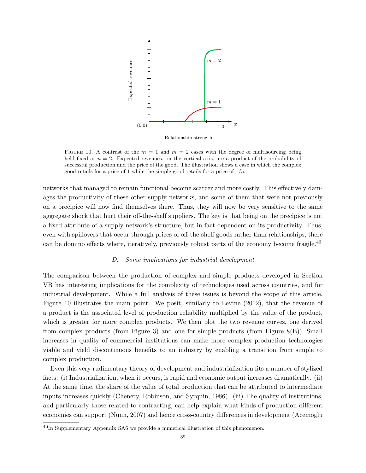

FIGURE 10. A contrast of the  $m = 1$  and  $m = 2$  cases with the degree of multisourcing being held fixed at  $n = 2$ . Expected revenues, on the vertical axis, are a product of the probability of successful production and the price of the good. The illustration shows a case in which the complex good retails for a price of 1 while the simple good retails for a price of 1/5.

networks that managed to remain functional become scarcer and more costly. This effectively damages the productivity of these other supply networks, and some of them that were not previously on a precipice will now find themselves there. Thus, they will now be very sensitive to the same aggregate shock that hurt their off-the-shelf suppliers. The key is that being on the precipice is not a fixed attribute of a supply network's structure, but in fact dependent on its productivity. Thus, even with spillovers that occur through prices of off-the-shelf goods rather than relationships, there can be domino effects where, iteratively, previously robust parts of the economy become fragile.<sup>46</sup>

#### D. Some implications for industrial development

The comparison between the production of complex and simple products developed in Section VB has interesting implications for the complexity of technologies used across countries, and for industrial development. While a full analysis of these issues is beyond the scope of this article, Figure 10 illustrates the main point. We posit, similarly to Levine (2012), that the revenue of a product is the associated level of production reliability multiplied by the value of the product, which is greater for more complex products. We then plot the two revenue curves, one derived from complex products (from Figure 3) and one for simple products (from Figure 8(B)). Small increases in quality of commercial institutions can make more complex production technologies viable and yield discontinuous benefits to an industry by enabling a transition from simple to complex production.

Even this very rudimentary theory of development and industrialization fits a number of stylized facts: (i) Industrialization, when it occurs, is rapid and economic output increases dramatically. (ii) At the same time, the share of the value of total production that can be attributed to intermediate inputs increases quickly (Chenery, Robinson, and Syrquin, 1986). (iii) The quality of institutions, and particularly those related to contracting, can help explain what kinds of production different economies can support (Nunn, 2007) and hence cross-country differences in development (Acemoglu

 $^{46}$ In Supplementary Appendix SA6 we provide a numerical illustration of this phenomenon.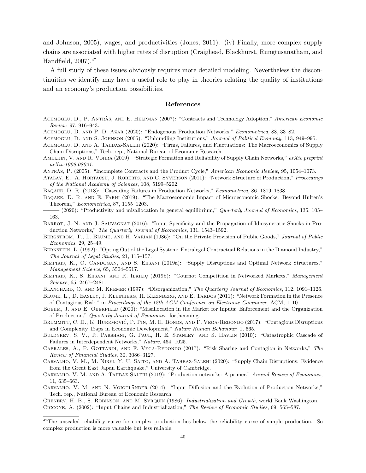and Johnson, 2005), wages, and productivities (Jones, 2011). (iv) Finally, more complex supply chains are associated with higher rates of disruption (Craighead, Blackhurst, Rungtusanatham, and Handfield, 2007).<sup>47</sup>

A full study of these issues obviously requires more detailed modeling. Nevertheless the discontinuities we identify may have a useful role to play in theories relating the quality of institutions and an economy's production possibilities.

### References

- ACEMOGLU, D., P. ANTRÀS, AND E. HELPMAN (2007): "Contracts and Technology Adoption," American Economic Review, 97, 916–943.
- Acemoglu, D. and P. D. Azar (2020): "Endogenous Production Networks," Econometrica, 88, 33–82.
- Acemoglu, D. and S. Johnson (2005): "Unbundling Institutions," Journal of Political Economy, 113, 949–995.
- Acemoglu, D. and A. Tahbaz-Salehi (2020): "Firms, Failures, and Fluctuations: The Macroeconomics of Supply Chain Disruptions," Tech. rep., National Bureau of Economic Research.
- AMELKIN, V. AND R. VOHRA (2019): "Strategic Formation and Reliability of Supply Chain Networks," arXiv preprint arXiv:1909.08021.
- ANTRAS, P. (2005): "Incomplete Contracts and the Product Cycle," American Economic Review, 95, 1054–1073.
- ATALAY, E., A. HORTACSU, J. ROBERTS, AND C. SYVERSON (2011): "Network Structure of Production," Proceedings of the National Academy of Sciences, 108, 5199–5202.
- Baqaee, D. R. (2018): "Cascading Failures in Production Networks," Econometrica, 86, 1819–1838.
- BAQAEE, D. R. AND E. FARHI (2019): "The Macroeconomic Impact of Microeconomic Shocks: Beyond Hulten's Theorem," Econometrica, 87, 1155–1203.
- (2020): "Productivity and misallocation in general equilibrium," Quarterly Journal of Economics, 135, 105– 163.
- BARROT, J.-N. AND J. SAUVAGNAT (2016): "Input Specificity and the Propagation of Idiosyncratic Shocks in Production Networks," The Quarterly Journal of Economics, 131, 1543–1592.
- BERGSTROM, T., L. BLUME, AND H. VARIAN (1986): "On the Private Provision of Public Goods," Journal of Public Economics, 29, 25–49.
- Bernstein, L. (1992): "Opting Out of the Legal System: Extralegal Contractual Relations in the Diamond Industry," The Journal of Legal Studies, 21, 115–157.
- Bimpikis, K., O. Candogan, and S. Ehsani (2019a): "Supply Disruptions and Optimal Network Structures," Management Science, 65, 5504–5517.
- BIMPIKIS, K., S. EHSANI, AND R. ILKILIÇ (2019b): "Cournot Competition in Networked Markets," Management Science, 65, 2467–2481.
- BLANCHARD, O. AND M. KREMER (1997): "Disorganization," The Quarterly Journal of Economics, 112, 1091-1126.
- BLUME, L., D. EASLEY, J. KLEINBERG, R. KLEINBERG, AND E. TARDOS (2011): "Network Formation in the Presence of Contagious Risk," in Proceedings of the 12th ACM Conference on Electronic Commerce, ACM, 1–10.
- BOEHM, J. AND E. OBERFIELD (2020): "Misallocation in the Market for Inputs: Enforcement and the Organization of Production," Quarterly Journal of Economics, forthcoming.
- BRUMMITT, C. D., K. HUREMOVIĆ, P. PIN, M. H. BONDS, AND F. VEGA-REDONDO (2017): "Contagious Disruptions and Complexity Traps in Economic Development," Nature Human Behaviour, 1, 665.
- Buldyrev, S. V., R. Parshani, G. Paul, H. E. Stanley, and S. Havlin (2010): "Catastrophic Cascade of Failures in Interdependent Networks," Nature, 464, 1025.
- CABRALES, A., P. GOTTARDI, AND F. VEGA-REDONDO (2017): "Risk Sharing and Contagion in Networks," The Review of Financial Studies, 30, 3086–3127.
- Carvalho, V. M., M. Nirei, Y. U. Saito, and A. Tahbaz-Salehi (2020): "Supply Chain Disruptions: Evidence from the Great East Japan Earthquake," University of Cambridge.
- CARVALHO, V. M. AND A. TAHBAZ-SALEHI (2019): "Production networks: A primer," Annual Review of Economics, 11, 635–663.
- CARVALHO, V. M. AND N. VOIGTLÄNDER (2014): "Input Diffusion and the Evolution of Production Networks," Tech. rep., National Bureau of Economic Research.

Chenery, H. B., S. Robinson, and M. Syrquin (1986): Industrialization and Growth, world Bank Washington. Ciccone, A. (2002): "Input Chains and Industrialization," The Review of Economic Studies, 69, 565–587.

<sup>&</sup>lt;sup>47</sup>The unscaled reliability curve for complex production lies below the reliability curve of simple production. So complex production is more valuable but less reliable.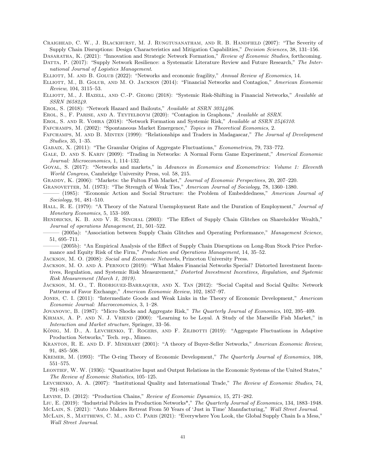Craighead, C. W., J. Blackhurst, M. J. Rungtusanatham, and R. B. Handfield (2007): "The Severity of Supply Chain Disruptions: Design Characteristics and Mitigation Capabilities," Decision Sciences, 38, 131–156.

Dasaratha, K. (2021): "Innovation and Strategic Network Formation," Review of Economic Studies, forthcoming. DATTA, P. (2017): "Supply Network Resilience: a Systematic Literature Review and Future Research," The International Journal of Logistics Management.

ELLIOTT, M. AND B. GOLUB (2022): "Networks and economic fragility," Annual Review of Economics, 14.

ELLIOTT, M., B. GOLUB, AND M. O. JACKSON (2014): "Financial Networks and Contagion," American Economic Review, 104, 3115–53.

ELLIOTT, M., J. HAZELL, AND C.-P. GEORG (2018): "Systemic Risk-Shifting in Financial Networks," Available at SSRN 2658249.

EROL, S. (2018): "Network Hazard and Bailouts," Available at SSRN 3034406.

Erol, S., F. Parise, and A. Teytelboym (2020): "Contagion in Graphons," Available at SSRN.

Erol, S. and R. Vohra (2018): "Network Formation and Systemic Risk," Available at SSRN 2546310.

Fafchamps, M. (2002): "Spontaneous Market Emergence," Topics in Theoretical Economics, 2.

Fafchamps, M. and B. Minten (1999): "Relationships and Traders in Madagascar," The Journal of Development Studies, 35, 1–35.

Gabaix, X. (2011): "The Granular Origins of Aggregate Fluctuations," Econometrica, 79, 733–772.

GALE, D. AND S. KARIV (2009): "Trading in Networks: A Normal Form Game Experiment," Americal Economic Journal: Microeconomics, 1, 114–132.

GOYAL, S. (2017): "Networks and markets," in Advances in Economics and Econometrics: Volume 1: Eleventh World Congress, Cambridge University Press, vol. 58, 215.

GRADDY, K. (2006): "Markets: the Fulton Fish Market," Journal of Economic Perspectives, 20, 207–220.

Granovetter, M. (1973): "The Strength of Weak Ties," American Journal of Sociology, 78, 1360–1380.

(1985): "Economic Action and Social Structure: the Problem of Embeddedness," American Journal of Sociology, 91, 481–510.

HALL, R. E. (1979): "A Theory of the Natural Unemployment Rate and the Duration of Employment," Journal of Monetary Economics, 5, 153–169.

Hendricks, K. B. and V. R. Singhal (2003): "The Effect of Supply Chain Glitches on Shareholder Wealth," Journal of operations Management, 21, 501–522.

——— (2005a): "Association between Supply Chain Glitches and Operating Performance," Management Science, 51, 695–711.

——— (2005b): "An Empirical Analysis of the Effect of Supply Chain Disruptions on Long-Run Stock Price Performance and Equity Risk of the Firm," Production and Operations Management, 14, 35–52.

Jackson, M. O. (2008): Social and Economic Networks, Princeton University Press.

Jackson, M. O. and A. Pernoud (2019): "What Makes Financial Networks Special? Distorted Investment Incentives, Regulation, and Systemic Risk Measurement," Distorted Investment Incentives, Regulation, and Systemic Risk Measurement (March 1, 2019).

Jackson, M. O., T. Rodriguez-Barraquer, and X. Tan (2012): "Social Capital and Social Quilts: Network Patterns of Favor Exchange," American Economic Review, 102, 1857–97.

Jones, C. I. (2011): "Intermediate Goods and Weak Links in the Theory of Economic Development," American Economic Journal: Macroeconomics, 3, 1–28.

Jovanovic, B. (1987): "Micro Shocks and Aggregate Risk," The Quarterly Journal of Economics, 102, 395–409.

Kirman, A. P. and N. J. Vriend (2000): "Learning to be Loyal. A Study of the Marseille Fish Market," in Interaction and Market structure, Springer, 33–56.

KÖNIG, M. D., A. LEVCHENKO, T. ROGERS, AND F. ZILIBOTTI (2019): "Aggregate Fluctuations in Adaptive Production Networks," Tech. rep., Mimeo.

Kranton, R. E. and D. F. Minehart (2001): "A theory of Buyer-Seller Networks," American Economic Review, 91, 485–508.

Kremer, M. (1993): "The O-ring Theory of Economic Development," The Quarterly Journal of Economics, 108, 551–575.

Leontief, W. W. (1936): "Quantitative Input and Output Relations in the Economic Systems of the United States," The Review of Economic Statistics, 105–125.

Levchenko, A. A. (2007): "Institutional Quality and International Trade," The Review of Economic Studies, 74, 791–819.

Levine, D. (2012): "Production Chains," Review of Economic Dynamics, 15, 271–282.

Liu, E. (2019): "Industrial Policies in Production Networks\*," The Quarterly Journal of Economics, 134, 1883–1948. McLain, S. (2021): "Auto Makers Retreat From 50 Years of 'Just in Time' Manufacturing," Wall Street Journal.

McLain, S., Matthews, C. M., and C. Paris (2021): "Everywhere You Look, the Global Supply Chain Is a Mess," Wall Street Journal.